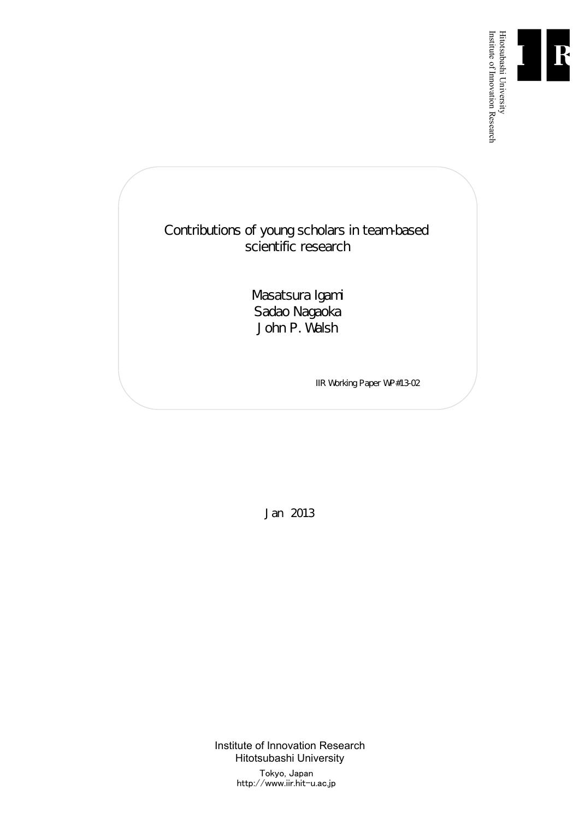

Institute of Innovation Research

Contributions of young scholars in team-based scientific research

> Masatsura Igami Sadao Nagaoka John P. Walsh

> > IIR Working Paper WP#13-02

Jan 2013

Institute of Innovation Research Hitotsubashi University Tokyo, Japan http://www.iir.hit-u.ac.jp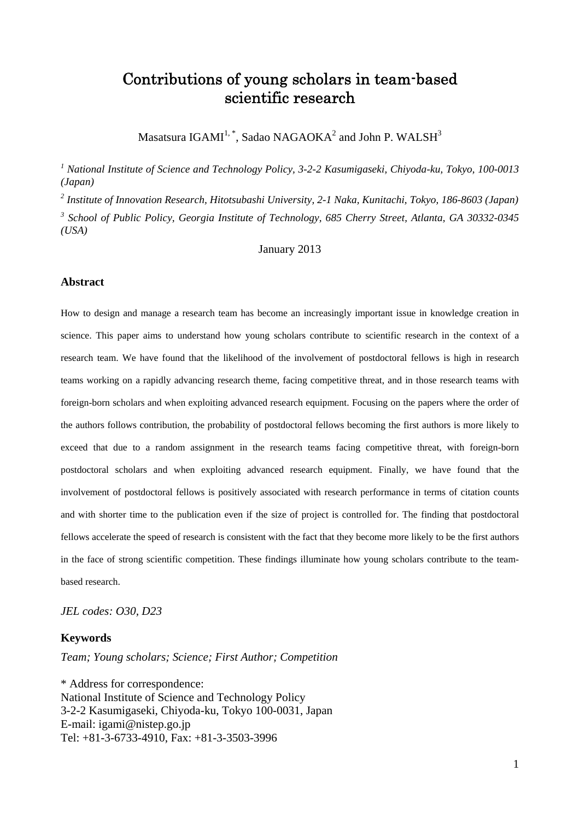## Contributions of young scholars in team-based scientific research

Masatsura IGAMI $^{1, \, *}$ , Sadao NAGAOKA $^{2}$  and John P. WALSH $^{3}$ 

*1 National Institute of Science and Technology Policy, 3-2-2 Kasumigaseki, Chiyoda-ku, Tokyo, 100-0013 (Japan)* 

*2 Institute of Innovation Research, Hitotsubashi University, 2-1 Naka, Kunitachi, Tokyo, 186-8603 (Japan) 3 School of Public Policy, Georgia Institute of Technology, 685 Cherry Street, Atlanta, GA 30332-0345 (USA)* 

January 2013

#### **Abstract**

How to design and manage a research team has become an increasingly important issue in knowledge creation in science. This paper aims to understand how young scholars contribute to scientific research in the context of a research team. We have found that the likelihood of the involvement of postdoctoral fellows is high in research teams working on a rapidly advancing research theme, facing competitive threat, and in those research teams with foreign-born scholars and when exploiting advanced research equipment. Focusing on the papers where the order of the authors follows contribution, the probability of postdoctoral fellows becoming the first authors is more likely to exceed that due to a random assignment in the research teams facing competitive threat, with foreign-born postdoctoral scholars and when exploiting advanced research equipment. Finally, we have found that the involvement of postdoctoral fellows is positively associated with research performance in terms of citation counts and with shorter time to the publication even if the size of project is controlled for. The finding that postdoctoral fellows accelerate the speed of research is consistent with the fact that they become more likely to be the first authors in the face of strong scientific competition. These findings illuminate how young scholars contribute to the teambased research.

*JEL codes: O30, D23* 

#### **Keywords**

*Team; Young scholars; Science; First Author; Competition* 

\* Address for correspondence: National Institute of Science and Technology Policy 3-2-2 Kasumigaseki, Chiyoda-ku, Tokyo 100-0031, Japan E-mail: igami@nistep.go.jp Tel: +81-3-6733-4910, Fax: +81-3-3503-3996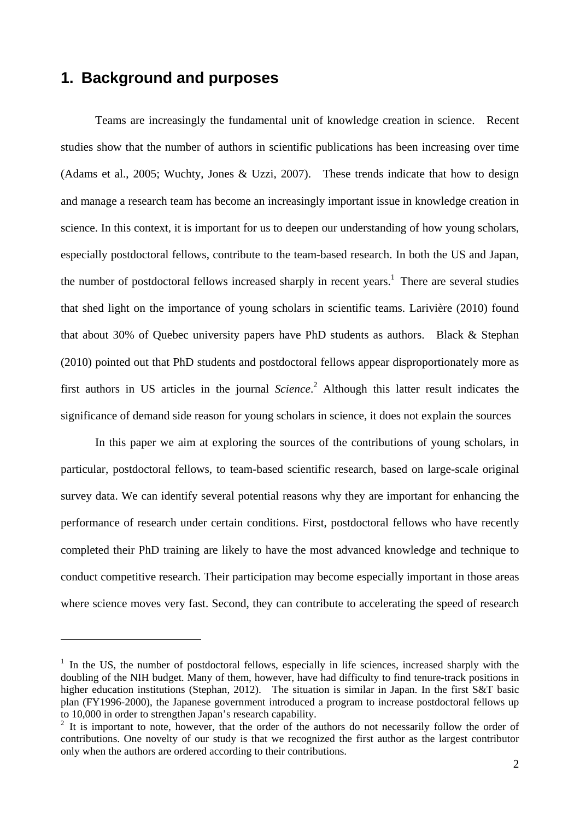## **1. Background and purposes**

 $\overline{a}$ 

Teams are increasingly the fundamental unit of knowledge creation in science. Recent studies show that the number of authors in scientific publications has been increasing over time (Adams et al., 2005; Wuchty, Jones & Uzzi, 2007). These trends indicate that how to design and manage a research team has become an increasingly important issue in knowledge creation in science. In this context, it is important for us to deepen our understanding of how young scholars, especially postdoctoral fellows, contribute to the team-based research. In both the US and Japan, the number of postdoctoral fellows increased sharply in recent years.<sup>1</sup> There are several studies that shed light on the importance of young scholars in scientific teams. Larivière (2010) found that about 30% of Quebec university papers have PhD students as authors. Black & Stephan (2010) pointed out that PhD students and postdoctoral fellows appear disproportionately more as first authors in US articles in the journal *Science*. 2 Although this latter result indicates the significance of demand side reason for young scholars in science, it does not explain the sources

In this paper we aim at exploring the sources of the contributions of young scholars, in particular, postdoctoral fellows, to team-based scientific research, based on large-scale original survey data. We can identify several potential reasons why they are important for enhancing the performance of research under certain conditions. First, postdoctoral fellows who have recently completed their PhD training are likely to have the most advanced knowledge and technique to conduct competitive research. Their participation may become especially important in those areas where science moves very fast. Second, they can contribute to accelerating the speed of research

<sup>&</sup>lt;sup>1</sup> In the US, the number of postdoctoral fellows, especially in life sciences, increased sharply with the doubling of the NIH budget. Many of them, however, have had difficulty to find tenure-track positions in higher education institutions (Stephan, 2012). The situation is similar in Japan. In the first S&T basic plan (FY1996-2000), the Japanese government introduced a program to increase postdoctoral fellows up to 10,000 in order to strengthen Japan's research capability.

 $2$  It is important to note, however, that the order of the authors do not necessarily follow the order of contributions. One novelty of our study is that we recognized the first author as the largest contributor only when the authors are ordered according to their contributions.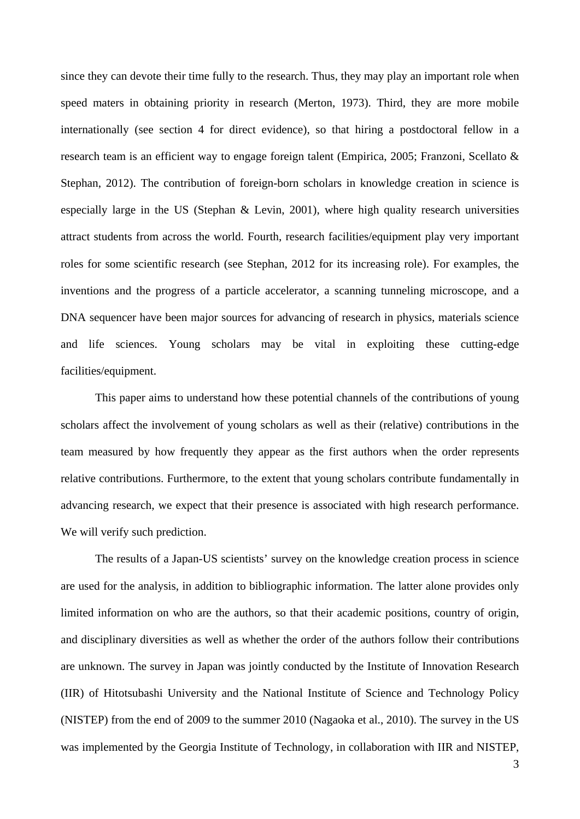since they can devote their time fully to the research. Thus, they may play an important role when speed maters in obtaining priority in research (Merton, 1973). Third, they are more mobile internationally (see section 4 for direct evidence), so that hiring a postdoctoral fellow in a research team is an efficient way to engage foreign talent (Empirica, 2005; Franzoni, Scellato & Stephan, 2012). The contribution of foreign-born scholars in knowledge creation in science is especially large in the US (Stephan & Levin, 2001), where high quality research universities attract students from across the world. Fourth, research facilities/equipment play very important roles for some scientific research (see Stephan, 2012 for its increasing role). For examples, the inventions and the progress of a particle accelerator, a scanning tunneling microscope, and a DNA sequencer have been major sources for advancing of research in physics, materials science and life sciences. Young scholars may be vital in exploiting these cutting-edge facilities/equipment.

This paper aims to understand how these potential channels of the contributions of young scholars affect the involvement of young scholars as well as their (relative) contributions in the team measured by how frequently they appear as the first authors when the order represents relative contributions. Furthermore, to the extent that young scholars contribute fundamentally in advancing research, we expect that their presence is associated with high research performance. We will verify such prediction.

The results of a Japan-US scientists' survey on the knowledge creation process in science are used for the analysis, in addition to bibliographic information. The latter alone provides only limited information on who are the authors, so that their academic positions, country of origin, and disciplinary diversities as well as whether the order of the authors follow their contributions are unknown. The survey in Japan was jointly conducted by the Institute of Innovation Research (IIR) of Hitotsubashi University and the National Institute of Science and Technology Policy (NISTEP) from the end of 2009 to the summer 2010 (Nagaoka et al., 2010). The survey in the US was implemented by the Georgia Institute of Technology, in collaboration with IIR and NISTEP,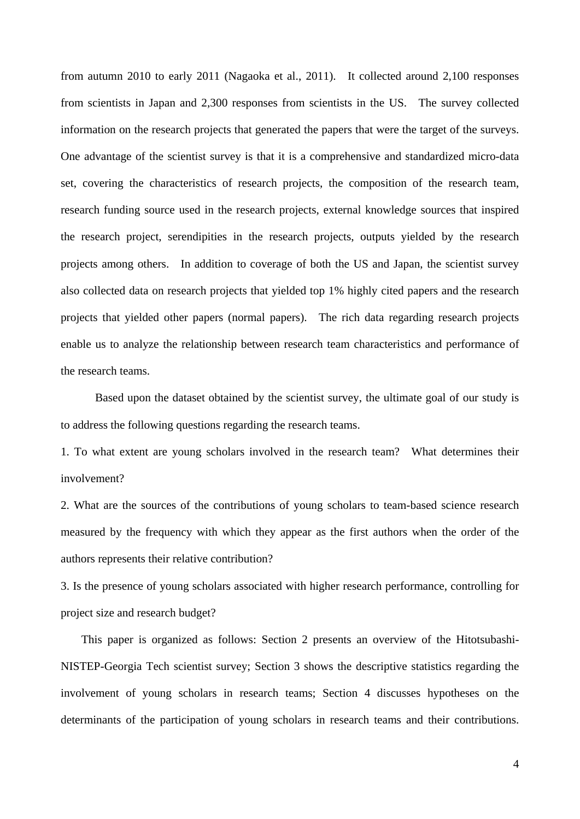from autumn 2010 to early 2011 (Nagaoka et al., 2011). It collected around 2,100 responses from scientists in Japan and 2,300 responses from scientists in the US. The survey collected information on the research projects that generated the papers that were the target of the surveys. One advantage of the scientist survey is that it is a comprehensive and standardized micro-data set, covering the characteristics of research projects, the composition of the research team, research funding source used in the research projects, external knowledge sources that inspired the research project, serendipities in the research projects, outputs yielded by the research projects among others. In addition to coverage of both the US and Japan, the scientist survey also collected data on research projects that yielded top 1% highly cited papers and the research projects that yielded other papers (normal papers). The rich data regarding research projects enable us to analyze the relationship between research team characteristics and performance of the research teams.

Based upon the dataset obtained by the scientist survey, the ultimate goal of our study is to address the following questions regarding the research teams.

1. To what extent are young scholars involved in the research team? What determines their involvement?

2. What are the sources of the contributions of young scholars to team-based science research measured by the frequency with which they appear as the first authors when the order of the authors represents their relative contribution?

3. Is the presence of young scholars associated with higher research performance, controlling for project size and research budget?

This paper is organized as follows: Section 2 presents an overview of the Hitotsubashi-NISTEP-Georgia Tech scientist survey; Section 3 shows the descriptive statistics regarding the involvement of young scholars in research teams; Section 4 discusses hypotheses on the determinants of the participation of young scholars in research teams and their contributions.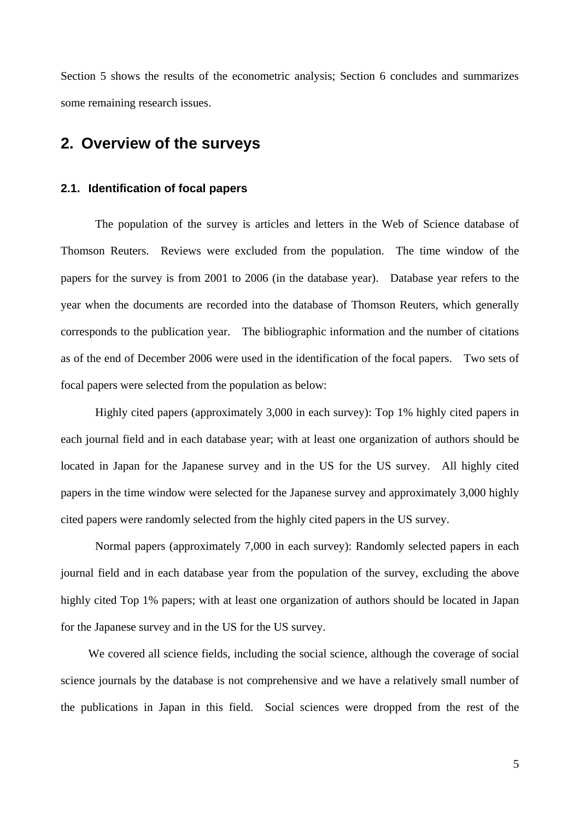Section 5 shows the results of the econometric analysis; Section 6 concludes and summarizes some remaining research issues.

## **2. Overview of the surveys**

#### **2.1. Identification of focal papers**

The population of the survey is articles and letters in the Web of Science database of Thomson Reuters. Reviews were excluded from the population. The time window of the papers for the survey is from 2001 to 2006 (in the database year). Database year refers to the year when the documents are recorded into the database of Thomson Reuters, which generally corresponds to the publication year. The bibliographic information and the number of citations as of the end of December 2006 were used in the identification of the focal papers. Two sets of focal papers were selected from the population as below:

Highly cited papers (approximately 3,000 in each survey): Top 1% highly cited papers in each journal field and in each database year; with at least one organization of authors should be located in Japan for the Japanese survey and in the US for the US survey. All highly cited papers in the time window were selected for the Japanese survey and approximately 3,000 highly cited papers were randomly selected from the highly cited papers in the US survey.

Normal papers (approximately 7,000 in each survey): Randomly selected papers in each journal field and in each database year from the population of the survey, excluding the above highly cited Top 1% papers; with at least one organization of authors should be located in Japan for the Japanese survey and in the US for the US survey.

We covered all science fields, including the social science, although the coverage of social science journals by the database is not comprehensive and we have a relatively small number of the publications in Japan in this field. Social sciences were dropped from the rest of the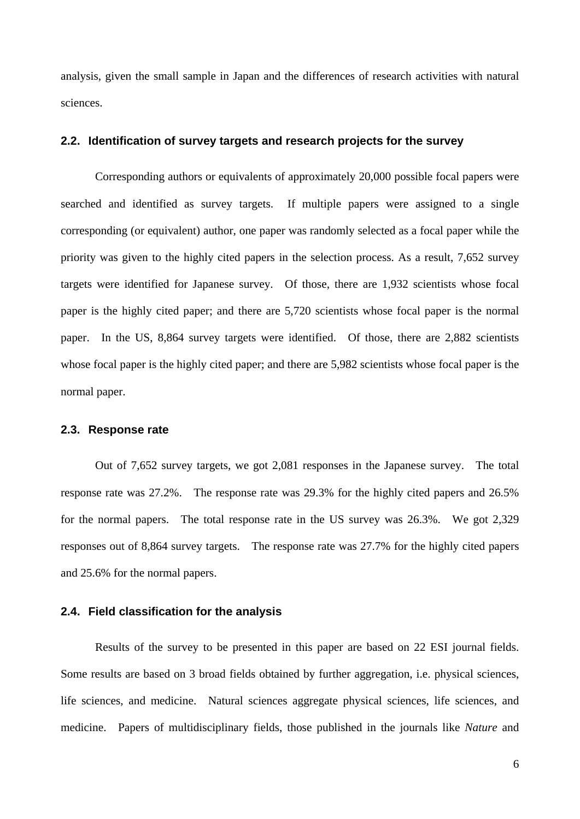analysis, given the small sample in Japan and the differences of research activities with natural sciences.

#### **2.2. Identification of survey targets and research projects for the survey**

Corresponding authors or equivalents of approximately 20,000 possible focal papers were searched and identified as survey targets. If multiple papers were assigned to a single corresponding (or equivalent) author, one paper was randomly selected as a focal paper while the priority was given to the highly cited papers in the selection process. As a result, 7,652 survey targets were identified for Japanese survey. Of those, there are 1,932 scientists whose focal paper is the highly cited paper; and there are 5,720 scientists whose focal paper is the normal paper. In the US, 8,864 survey targets were identified. Of those, there are 2,882 scientists whose focal paper is the highly cited paper; and there are 5,982 scientists whose focal paper is the normal paper.

#### **2.3. Response rate**

Out of 7,652 survey targets, we got 2,081 responses in the Japanese survey. The total response rate was 27.2%. The response rate was 29.3% for the highly cited papers and 26.5% for the normal papers. The total response rate in the US survey was 26.3%. We got 2,329 responses out of 8,864 survey targets. The response rate was 27.7% for the highly cited papers and 25.6% for the normal papers.

#### **2.4. Field classification for the analysis**

Results of the survey to be presented in this paper are based on 22 ESI journal fields. Some results are based on 3 broad fields obtained by further aggregation, i.e. physical sciences, life sciences, and medicine. Natural sciences aggregate physical sciences, life sciences, and medicine. Papers of multidisciplinary fields, those published in the journals like *Nature* and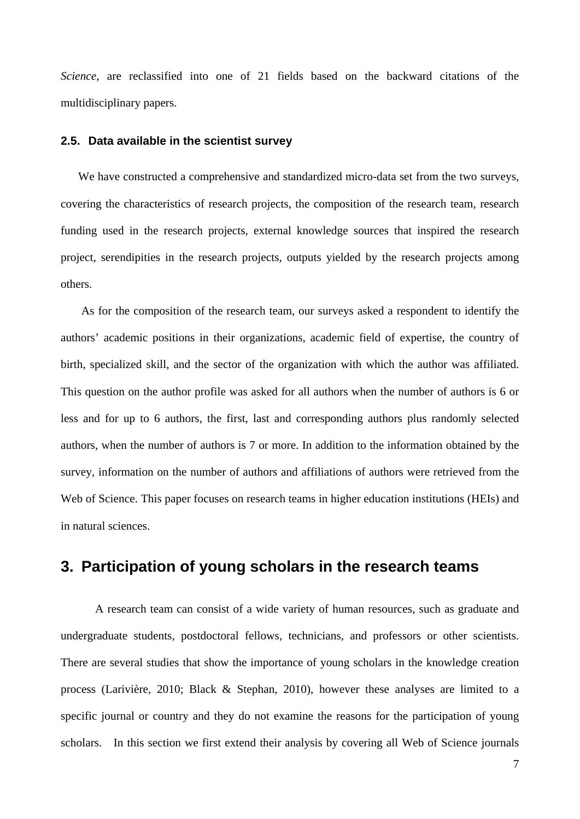*Science*, are reclassified into one of 21 fields based on the backward citations of the multidisciplinary papers.

#### **2.5. Data available in the scientist survey**

We have constructed a comprehensive and standardized micro-data set from the two surveys, covering the characteristics of research projects, the composition of the research team, research funding used in the research projects, external knowledge sources that inspired the research project, serendipities in the research projects, outputs yielded by the research projects among others.

As for the composition of the research team, our surveys asked a respondent to identify the authors' academic positions in their organizations, academic field of expertise, the country of birth, specialized skill, and the sector of the organization with which the author was affiliated. This question on the author profile was asked for all authors when the number of authors is 6 or less and for up to 6 authors, the first, last and corresponding authors plus randomly selected authors, when the number of authors is 7 or more. In addition to the information obtained by the survey, information on the number of authors and affiliations of authors were retrieved from the Web of Science. This paper focuses on research teams in higher education institutions (HEIs) and in natural sciences.

## **3. Participation of young scholars in the research teams**

A research team can consist of a wide variety of human resources, such as graduate and undergraduate students, postdoctoral fellows, technicians, and professors or other scientists. There are several studies that show the importance of young scholars in the knowledge creation process (Larivière, 2010; Black & Stephan, 2010), however these analyses are limited to a specific journal or country and they do not examine the reasons for the participation of young scholars. In this section we first extend their analysis by covering all Web of Science journals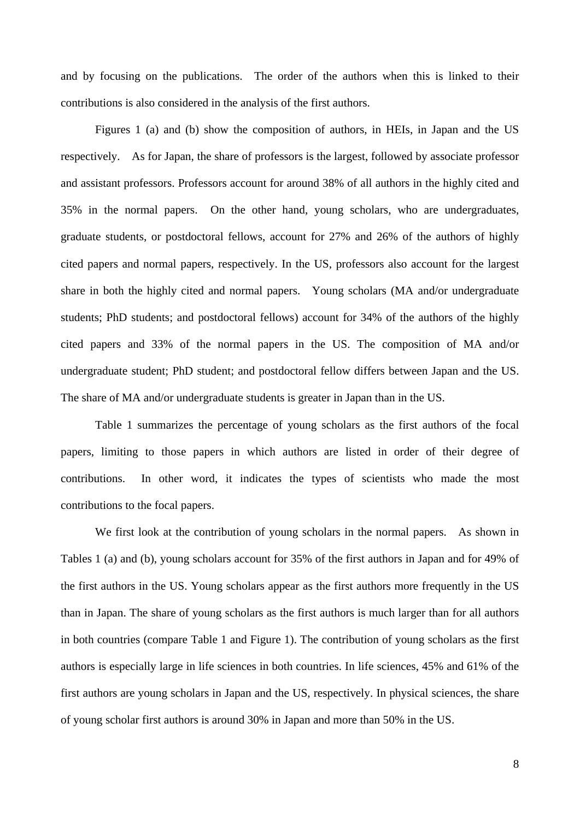and by focusing on the publications. The order of the authors when this is linked to their contributions is also considered in the analysis of the first authors.

Figures 1 (a) and (b) show the composition of authors, in HEIs, in Japan and the US respectively. As for Japan, the share of professors is the largest, followed by associate professor and assistant professors. Professors account for around 38% of all authors in the highly cited and 35% in the normal papers. On the other hand, young scholars, who are undergraduates, graduate students, or postdoctoral fellows, account for 27% and 26% of the authors of highly cited papers and normal papers, respectively. In the US, professors also account for the largest share in both the highly cited and normal papers. Young scholars (MA and/or undergraduate students; PhD students; and postdoctoral fellows) account for 34% of the authors of the highly cited papers and 33% of the normal papers in the US. The composition of MA and/or undergraduate student; PhD student; and postdoctoral fellow differs between Japan and the US. The share of MA and/or undergraduate students is greater in Japan than in the US.

Table 1 summarizes the percentage of young scholars as the first authors of the focal papers, limiting to those papers in which authors are listed in order of their degree of contributions. In other word, it indicates the types of scientists who made the most contributions to the focal papers.

We first look at the contribution of young scholars in the normal papers. As shown in Tables 1 (a) and (b), young scholars account for 35% of the first authors in Japan and for 49% of the first authors in the US. Young scholars appear as the first authors more frequently in the US than in Japan. The share of young scholars as the first authors is much larger than for all authors in both countries (compare Table 1 and Figure 1). The contribution of young scholars as the first authors is especially large in life sciences in both countries. In life sciences, 45% and 61% of the first authors are young scholars in Japan and the US, respectively. In physical sciences, the share of young scholar first authors is around 30% in Japan and more than 50% in the US.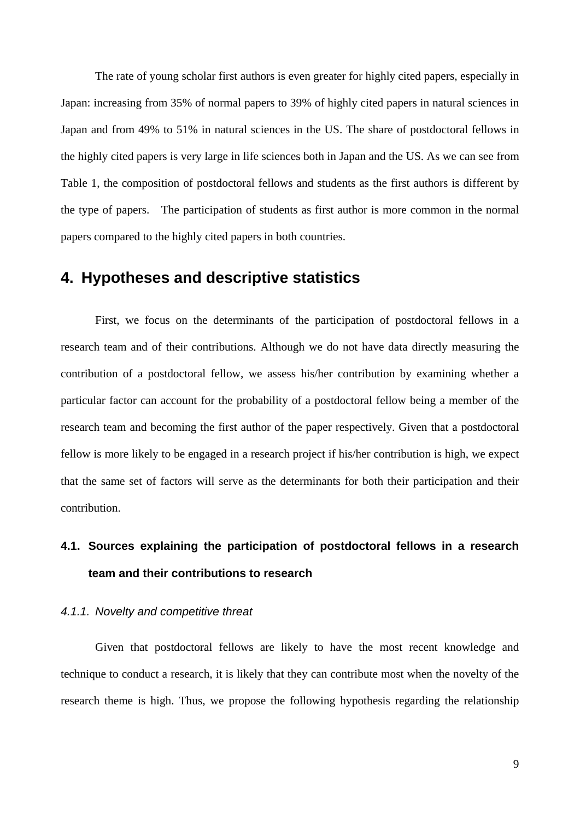The rate of young scholar first authors is even greater for highly cited papers, especially in Japan: increasing from 35% of normal papers to 39% of highly cited papers in natural sciences in Japan and from 49% to 51% in natural sciences in the US. The share of postdoctoral fellows in the highly cited papers is very large in life sciences both in Japan and the US. As we can see from Table 1, the composition of postdoctoral fellows and students as the first authors is different by the type of papers. The participation of students as first author is more common in the normal papers compared to the highly cited papers in both countries.

## **4. Hypotheses and descriptive statistics**

First, we focus on the determinants of the participation of postdoctoral fellows in a research team and of their contributions. Although we do not have data directly measuring the contribution of a postdoctoral fellow, we assess his/her contribution by examining whether a particular factor can account for the probability of a postdoctoral fellow being a member of the research team and becoming the first author of the paper respectively. Given that a postdoctoral fellow is more likely to be engaged in a research project if his/her contribution is high, we expect that the same set of factors will serve as the determinants for both their participation and their contribution.

# **4.1. Sources explaining the participation of postdoctoral fellows in a research team and their contributions to research**

#### *4.1.1. Novelty and competitive threat*

Given that postdoctoral fellows are likely to have the most recent knowledge and technique to conduct a research, it is likely that they can contribute most when the novelty of the research theme is high. Thus, we propose the following hypothesis regarding the relationship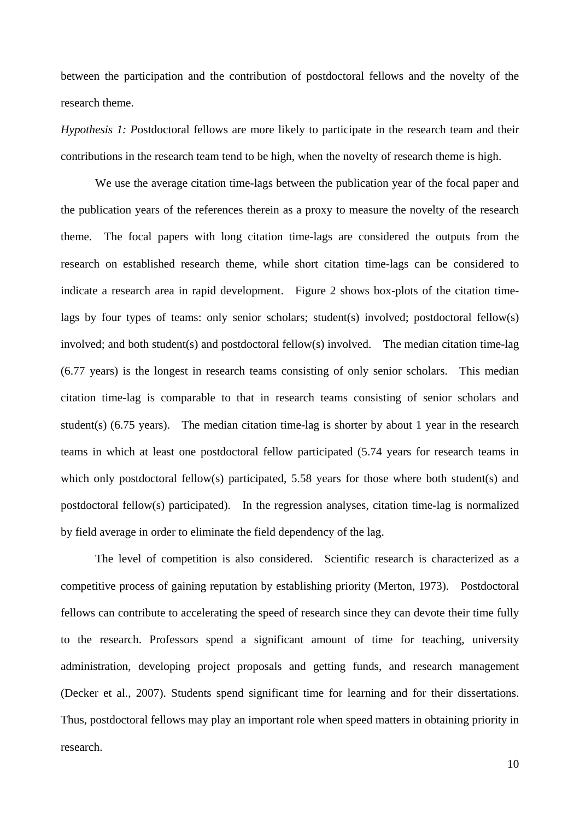between the participation and the contribution of postdoctoral fellows and the novelty of the research theme.

*Hypothesis 1: P*ostdoctoral fellows are more likely to participate in the research team and their contributions in the research team tend to be high, when the novelty of research theme is high.

We use the average citation time-lags between the publication year of the focal paper and the publication years of the references therein as a proxy to measure the novelty of the research theme. The focal papers with long citation time-lags are considered the outputs from the research on established research theme, while short citation time-lags can be considered to indicate a research area in rapid development. Figure 2 shows box-plots of the citation timelags by four types of teams: only senior scholars; student(s) involved; postdoctoral fellow(s) involved; and both student(s) and postdoctoral fellow(s) involved. The median citation time-lag (6.77 years) is the longest in research teams consisting of only senior scholars. This median citation time-lag is comparable to that in research teams consisting of senior scholars and student(s) (6.75 years). The median citation time-lag is shorter by about 1 year in the research teams in which at least one postdoctoral fellow participated (5.74 years for research teams in which only postdoctoral fellow(s) participated, 5.58 years for those where both student(s) and postdoctoral fellow(s) participated). In the regression analyses, citation time-lag is normalized by field average in order to eliminate the field dependency of the lag.

The level of competition is also considered. Scientific research is characterized as a competitive process of gaining reputation by establishing priority (Merton, 1973). Postdoctoral fellows can contribute to accelerating the speed of research since they can devote their time fully to the research. Professors spend a significant amount of time for teaching, university administration, developing project proposals and getting funds, and research management (Decker et al., 2007). Students spend significant time for learning and for their dissertations. Thus, postdoctoral fellows may play an important role when speed matters in obtaining priority in research.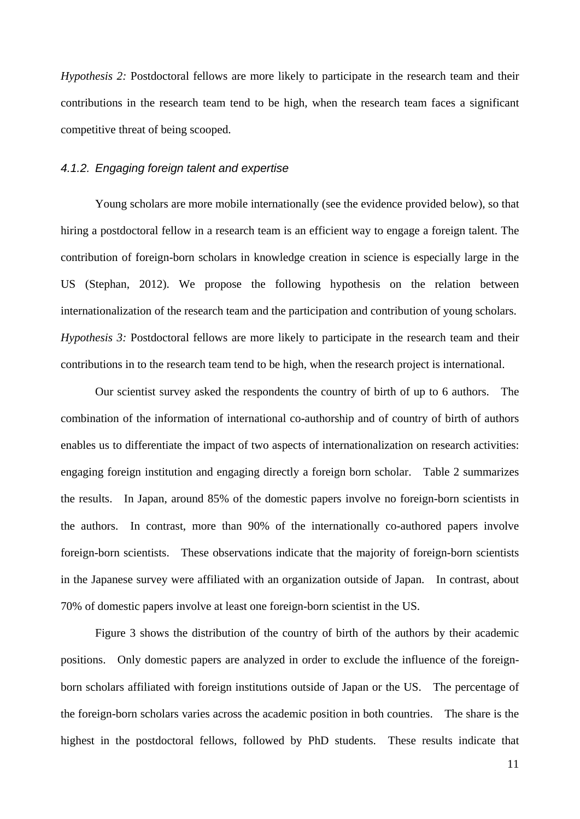*Hypothesis 2:* Postdoctoral fellows are more likely to participate in the research team and their contributions in the research team tend to be high, when the research team faces a significant competitive threat of being scooped.

#### *4.1.2. Engaging foreign talent and expertise*

Young scholars are more mobile internationally (see the evidence provided below), so that hiring a postdoctoral fellow in a research team is an efficient way to engage a foreign talent. The contribution of foreign-born scholars in knowledge creation in science is especially large in the US (Stephan, 2012). We propose the following hypothesis on the relation between internationalization of the research team and the participation and contribution of young scholars. *Hypothesis 3:* Postdoctoral fellows are more likely to participate in the research team and their contributions in to the research team tend to be high, when the research project is international.

Our scientist survey asked the respondents the country of birth of up to 6 authors. The combination of the information of international co-authorship and of country of birth of authors enables us to differentiate the impact of two aspects of internationalization on research activities: engaging foreign institution and engaging directly a foreign born scholar. Table 2 summarizes the results. In Japan, around 85% of the domestic papers involve no foreign-born scientists in the authors. In contrast, more than 90% of the internationally co-authored papers involve foreign-born scientists. These observations indicate that the majority of foreign-born scientists in the Japanese survey were affiliated with an organization outside of Japan. In contrast, about 70% of domestic papers involve at least one foreign-born scientist in the US.

Figure 3 shows the distribution of the country of birth of the authors by their academic positions. Only domestic papers are analyzed in order to exclude the influence of the foreignborn scholars affiliated with foreign institutions outside of Japan or the US. The percentage of the foreign-born scholars varies across the academic position in both countries. The share is the highest in the postdoctoral fellows, followed by PhD students. These results indicate that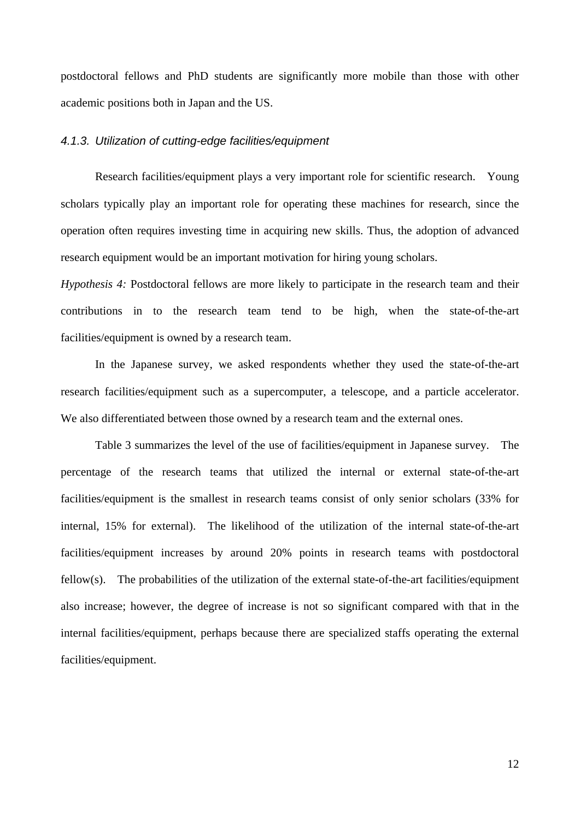postdoctoral fellows and PhD students are significantly more mobile than those with other academic positions both in Japan and the US.

#### *4.1.3. Utilization of cutting-edge facilities/equipment*

Research facilities/equipment plays a very important role for scientific research. Young scholars typically play an important role for operating these machines for research, since the operation often requires investing time in acquiring new skills. Thus, the adoption of advanced research equipment would be an important motivation for hiring young scholars.

*Hypothesis 4:* Postdoctoral fellows are more likely to participate in the research team and their contributions in to the research team tend to be high, when the state-of-the-art facilities/equipment is owned by a research team.

In the Japanese survey, we asked respondents whether they used the state-of-the-art research facilities/equipment such as a supercomputer, a telescope, and a particle accelerator. We also differentiated between those owned by a research team and the external ones.

Table 3 summarizes the level of the use of facilities/equipment in Japanese survey. The percentage of the research teams that utilized the internal or external state-of-the-art facilities/equipment is the smallest in research teams consist of only senior scholars (33% for internal, 15% for external). The likelihood of the utilization of the internal state-of-the-art facilities/equipment increases by around 20% points in research teams with postdoctoral fellow(s). The probabilities of the utilization of the external state-of-the-art facilities/equipment also increase; however, the degree of increase is not so significant compared with that in the internal facilities/equipment, perhaps because there are specialized staffs operating the external facilities/equipment.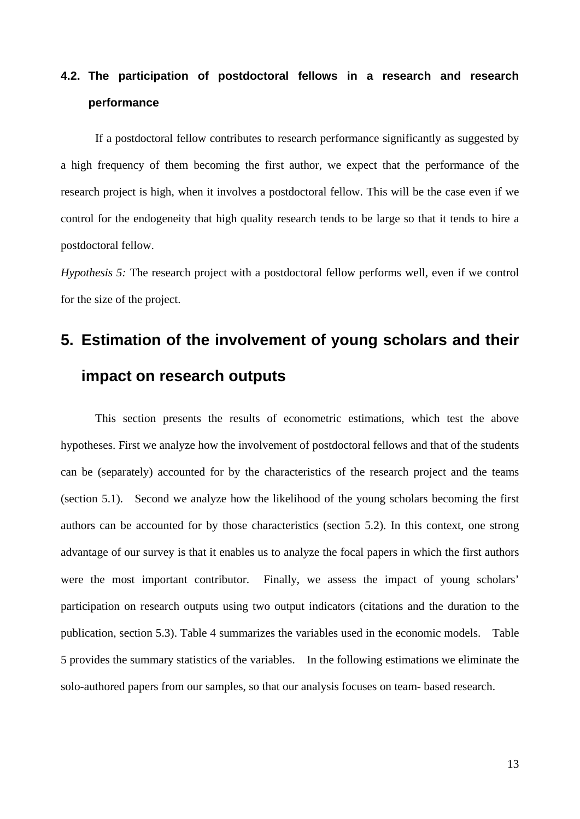# **4.2. The participation of postdoctoral fellows in a research and research performance**

If a postdoctoral fellow contributes to research performance significantly as suggested by a high frequency of them becoming the first author, we expect that the performance of the research project is high, when it involves a postdoctoral fellow. This will be the case even if we control for the endogeneity that high quality research tends to be large so that it tends to hire a postdoctoral fellow.

*Hypothesis 5:* The research project with a postdoctoral fellow performs well, even if we control for the size of the project.

# **5. Estimation of the involvement of young scholars and their impact on research outputs**

This section presents the results of econometric estimations, which test the above hypotheses. First we analyze how the involvement of postdoctoral fellows and that of the students can be (separately) accounted for by the characteristics of the research project and the teams (section 5.1). Second we analyze how the likelihood of the young scholars becoming the first authors can be accounted for by those characteristics (section 5.2). In this context, one strong advantage of our survey is that it enables us to analyze the focal papers in which the first authors were the most important contributor. Finally, we assess the impact of young scholars' participation on research outputs using two output indicators (citations and the duration to the publication, section 5.3). Table 4 summarizes the variables used in the economic models. Table 5 provides the summary statistics of the variables. In the following estimations we eliminate the solo-authored papers from our samples, so that our analysis focuses on team- based research.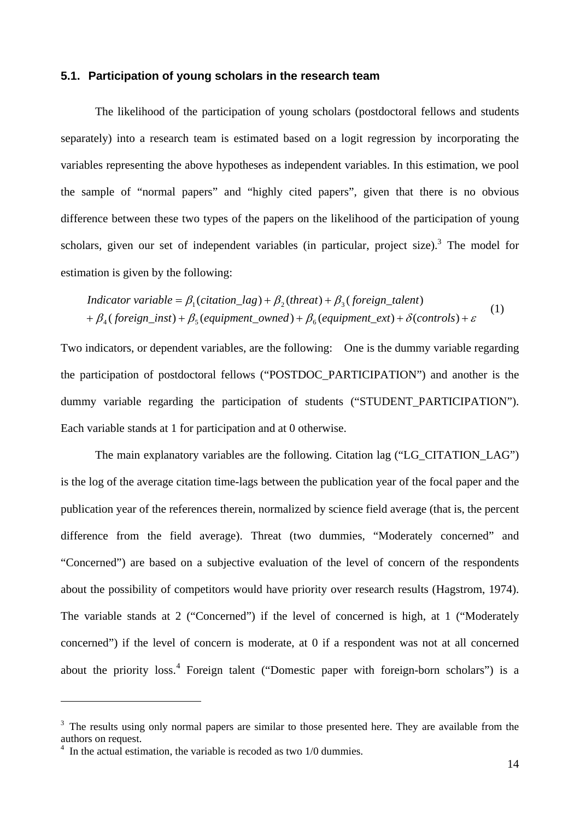#### **5.1. Participation of young scholars in the research team**

The likelihood of the participation of young scholars (postdoctoral fellows and students separately) into a research team is estimated based on a logit regression by incorporating the variables representing the above hypotheses as independent variables. In this estimation, we pool the sample of "normal papers" and "highly cited papers", given that there is no obvious difference between these two types of the papers on the likelihood of the participation of young scholars, given our set of independent variables (in particular, project size).<sup>3</sup> The model for estimation is given by the following:

$$
Indication variable = \beta_1(citation\_lag) + \beta_2(thread) + \beta_3(foreign\_talent)
$$
  
+  $\beta_4(foreign\_inst) + \beta_5(equipment\_owned) + \beta_6(equipment\_ext) + \delta(controls) + \varepsilon$  (1)

Two indicators, or dependent variables, are the following: One is the dummy variable regarding the participation of postdoctoral fellows ("POSTDOC\_PARTICIPATION") and another is the dummy variable regarding the participation of students ("STUDENT PARTICIPATION"). Each variable stands at 1 for participation and at 0 otherwise.

The main explanatory variables are the following. Citation lag ("LG\_CITATION\_LAG") is the log of the average citation time-lags between the publication year of the focal paper and the publication year of the references therein, normalized by science field average (that is, the percent difference from the field average). Threat (two dummies, "Moderately concerned" and "Concerned") are based on a subjective evaluation of the level of concern of the respondents about the possibility of competitors would have priority over research results (Hagstrom, 1974). The variable stands at 2 ("Concerned") if the level of concerned is high, at 1 ("Moderately concerned") if the level of concern is moderate, at 0 if a respondent was not at all concerned about the priority  $loss^4$  Foreign talent ("Domestic paper with foreign-born scholars") is a

 $\overline{a}$ 

 $3$  The results using only normal papers are similar to those presented here. They are available from the authors on request.

<sup>&</sup>lt;sup>4</sup> In the actual estimation, the variable is recoded as two 1/0 dummies.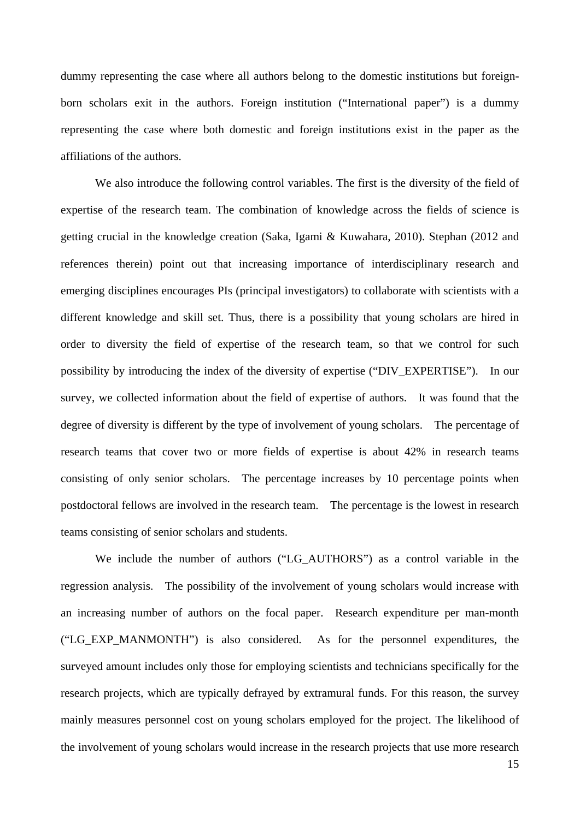dummy representing the case where all authors belong to the domestic institutions but foreignborn scholars exit in the authors. Foreign institution ("International paper") is a dummy representing the case where both domestic and foreign institutions exist in the paper as the affiliations of the authors.

We also introduce the following control variables. The first is the diversity of the field of expertise of the research team. The combination of knowledge across the fields of science is getting crucial in the knowledge creation (Saka, Igami & Kuwahara, 2010). Stephan (2012 and references therein) point out that increasing importance of interdisciplinary research and emerging disciplines encourages PIs (principal investigators) to collaborate with scientists with a different knowledge and skill set. Thus, there is a possibility that young scholars are hired in order to diversity the field of expertise of the research team, so that we control for such possibility by introducing the index of the diversity of expertise ("DIV\_EXPERTISE"). In our survey, we collected information about the field of expertise of authors. It was found that the degree of diversity is different by the type of involvement of young scholars. The percentage of research teams that cover two or more fields of expertise is about 42% in research teams consisting of only senior scholars. The percentage increases by 10 percentage points when postdoctoral fellows are involved in the research team. The percentage is the lowest in research teams consisting of senior scholars and students.

We include the number of authors ("LG\_AUTHORS") as a control variable in the regression analysis. The possibility of the involvement of young scholars would increase with an increasing number of authors on the focal paper. Research expenditure per man-month ("LG\_EXP\_MANMONTH") is also considered. As for the personnel expenditures, the surveyed amount includes only those for employing scientists and technicians specifically for the research projects, which are typically defrayed by extramural funds. For this reason, the survey mainly measures personnel cost on young scholars employed for the project. The likelihood of the involvement of young scholars would increase in the research projects that use more research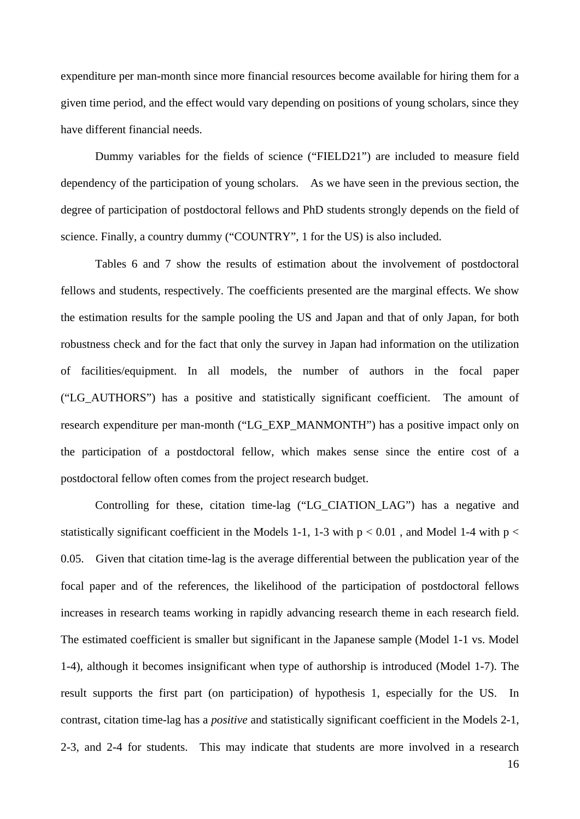expenditure per man-month since more financial resources become available for hiring them for a given time period, and the effect would vary depending on positions of young scholars, since they have different financial needs.

Dummy variables for the fields of science ("FIELD21") are included to measure field dependency of the participation of young scholars. As we have seen in the previous section, the degree of participation of postdoctoral fellows and PhD students strongly depends on the field of science. Finally, a country dummy ("COUNTRY", 1 for the US) is also included.

Tables 6 and 7 show the results of estimation about the involvement of postdoctoral fellows and students, respectively. The coefficients presented are the marginal effects. We show the estimation results for the sample pooling the US and Japan and that of only Japan, for both robustness check and for the fact that only the survey in Japan had information on the utilization of facilities/equipment. In all models, the number of authors in the focal paper ("LG\_AUTHORS") has a positive and statistically significant coefficient. The amount of research expenditure per man-month ("LG\_EXP\_MANMONTH") has a positive impact only on the participation of a postdoctoral fellow, which makes sense since the entire cost of a postdoctoral fellow often comes from the project research budget.

Controlling for these, citation time-lag ("LG\_CIATION\_LAG") has a negative and statistically significant coefficient in the Models 1-1, 1-3 with  $p < 0.01$ , and Model 1-4 with  $p <$ 0.05. Given that citation time-lag is the average differential between the publication year of the focal paper and of the references, the likelihood of the participation of postdoctoral fellows increases in research teams working in rapidly advancing research theme in each research field. The estimated coefficient is smaller but significant in the Japanese sample (Model 1-1 vs. Model 1-4), although it becomes insignificant when type of authorship is introduced (Model 1-7). The result supports the first part (on participation) of hypothesis 1, especially for the US. In contrast, citation time-lag has a *positive* and statistically significant coefficient in the Models 2-1, 2-3, and 2-4 for students. This may indicate that students are more involved in a research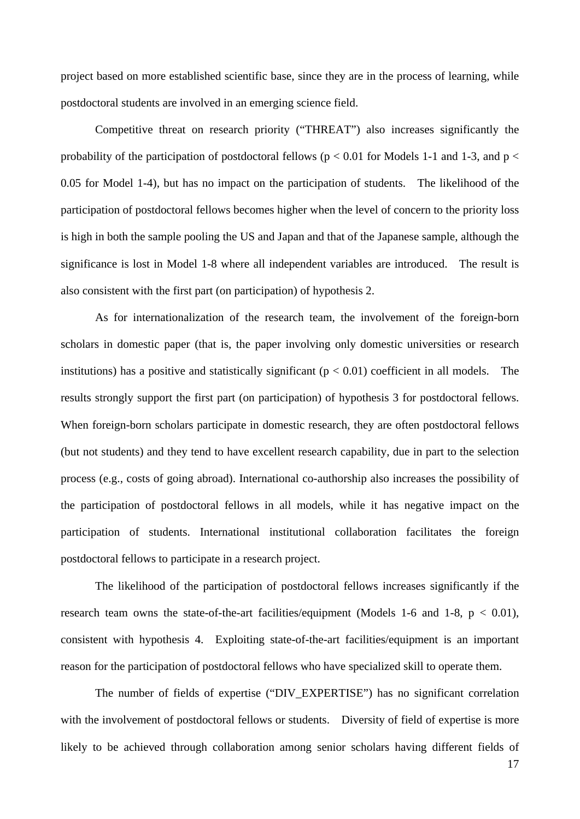project based on more established scientific base, since they are in the process of learning, while postdoctoral students are involved in an emerging science field.

Competitive threat on research priority ("THREAT") also increases significantly the probability of the participation of postdoctoral fellows ( $p < 0.01$  for Models 1-1 and 1-3, and  $p <$ 0.05 for Model 1-4), but has no impact on the participation of students. The likelihood of the participation of postdoctoral fellows becomes higher when the level of concern to the priority loss is high in both the sample pooling the US and Japan and that of the Japanese sample, although the significance is lost in Model 1-8 where all independent variables are introduced. The result is also consistent with the first part (on participation) of hypothesis 2.

As for internationalization of the research team, the involvement of the foreign-born scholars in domestic paper (that is, the paper involving only domestic universities or research institutions) has a positive and statistically significant ( $p < 0.01$ ) coefficient in all models. The results strongly support the first part (on participation) of hypothesis 3 for postdoctoral fellows. When foreign-born scholars participate in domestic research, they are often postdoctoral fellows (but not students) and they tend to have excellent research capability, due in part to the selection process (e.g., costs of going abroad). International co-authorship also increases the possibility of the participation of postdoctoral fellows in all models, while it has negative impact on the participation of students. International institutional collaboration facilitates the foreign postdoctoral fellows to participate in a research project.

The likelihood of the participation of postdoctoral fellows increases significantly if the research team owns the state-of-the-art facilities/equipment (Models 1-6 and 1-8,  $p < 0.01$ ), consistent with hypothesis 4. Exploiting state-of-the-art facilities/equipment is an important reason for the participation of postdoctoral fellows who have specialized skill to operate them.

The number of fields of expertise ("DIV\_EXPERTISE") has no significant correlation with the involvement of postdoctoral fellows or students. Diversity of field of expertise is more likely to be achieved through collaboration among senior scholars having different fields of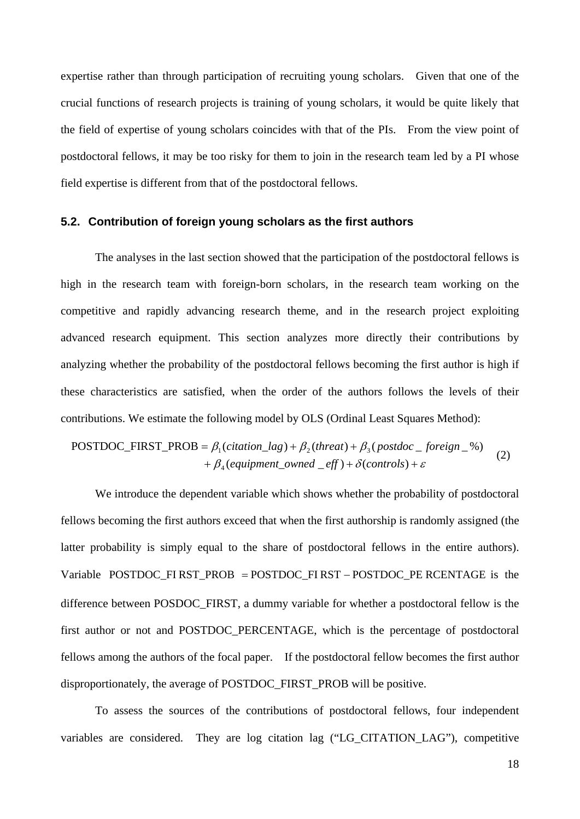expertise rather than through participation of recruiting young scholars. Given that one of the crucial functions of research projects is training of young scholars, it would be quite likely that the field of expertise of young scholars coincides with that of the PIs. From the view point of postdoctoral fellows, it may be too risky for them to join in the research team led by a PI whose field expertise is different from that of the postdoctoral fellows.

#### **5.2. Contribution of foreign young scholars as the first authors**

The analyses in the last section showed that the participation of the postdoctoral fellows is high in the research team with foreign-born scholars, in the research team working on the competitive and rapidly advancing research theme, and in the research project exploiting advanced research equipment. This section analyzes more directly their contributions by analyzing whether the probability of the postdoctoral fellows becoming the first author is high if these characteristics are satisfied, when the order of the authors follows the levels of their contributions. We estimate the following model by OLS (Ordinal Least Squares Method):

$$
POSTDOC_FIRST_PROB = \beta_1(citation\_lag) + \beta_2(thread) + \beta_3(postdoc\_foreign\_%) + \beta_4(equipment\_owned\_eff) + \delta(controls) + \varepsilon
$$
 (2)

We introduce the dependent variable which shows whether the probability of postdoctoral fellows becoming the first authors exceed that when the first authorship is randomly assigned (the latter probability is simply equal to the share of postdoctoral fellows in the entire authors). Variable  $POSTDOC_FIRST_PROB = POSTDOC_FIRST - POSTDOC_PE RCENTAGE$  is the difference between POSDOC\_FIRST, a dummy variable for whether a postdoctoral fellow is the first author or not and POSTDOC\_PERCENTAGE, which is the percentage of postdoctoral fellows among the authors of the focal paper. If the postdoctoral fellow becomes the first author disproportionately, the average of POSTDOC\_FIRST\_PROB will be positive.

To assess the sources of the contributions of postdoctoral fellows, four independent variables are considered. They are log citation lag ("LG\_CITATION\_LAG"), competitive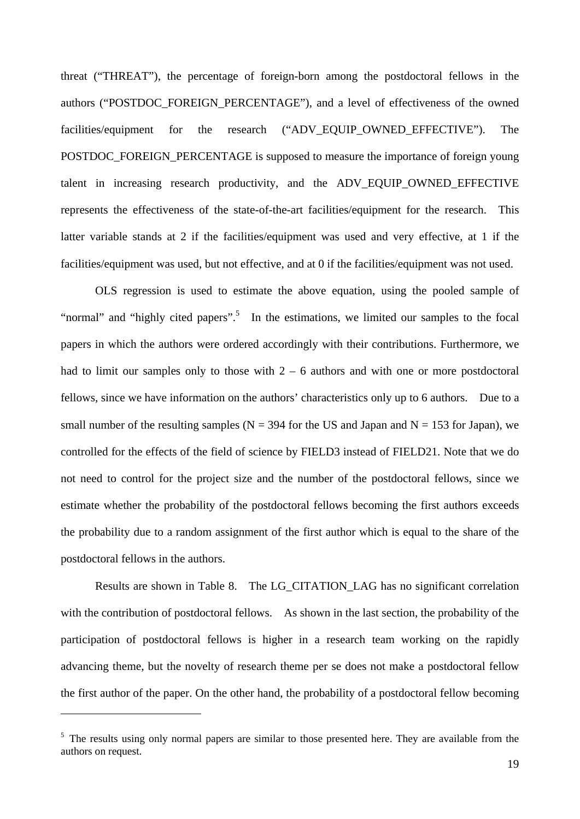threat ("THREAT"), the percentage of foreign-born among the postdoctoral fellows in the authors ("POSTDOC\_FOREIGN\_PERCENTAGE"), and a level of effectiveness of the owned facilities/equipment for the research ("ADV\_EQUIP\_OWNED\_EFFECTIVE"). The POSTDOC\_FOREIGN\_PERCENTAGE is supposed to measure the importance of foreign young talent in increasing research productivity, and the ADV\_EQUIP\_OWNED\_EFFECTIVE represents the effectiveness of the state-of-the-art facilities/equipment for the research. This latter variable stands at 2 if the facilities/equipment was used and very effective, at 1 if the facilities/equipment was used, but not effective, and at 0 if the facilities/equipment was not used.

OLS regression is used to estimate the above equation, using the pooled sample of "normal" and "highly cited papers".<sup>5</sup> In the estimations, we limited our samples to the focal papers in which the authors were ordered accordingly with their contributions. Furthermore, we had to limit our samples only to those with  $2 - 6$  authors and with one or more postdoctoral fellows, since we have information on the authors' characteristics only up to 6 authors. Due to a small number of the resulting samples ( $N = 394$  for the US and Japan and  $N = 153$  for Japan), we controlled for the effects of the field of science by FIELD3 instead of FIELD21. Note that we do not need to control for the project size and the number of the postdoctoral fellows, since we estimate whether the probability of the postdoctoral fellows becoming the first authors exceeds the probability due to a random assignment of the first author which is equal to the share of the postdoctoral fellows in the authors.

Results are shown in Table 8. The LG\_CITATION\_LAG has no significant correlation with the contribution of postdoctoral fellows. As shown in the last section, the probability of the participation of postdoctoral fellows is higher in a research team working on the rapidly advancing theme, but the novelty of research theme per se does not make a postdoctoral fellow the first author of the paper. On the other hand, the probability of a postdoctoral fellow becoming

 $\overline{a}$ 

<sup>&</sup>lt;sup>5</sup> The results using only normal papers are similar to those presented here. They are available from the authors on request.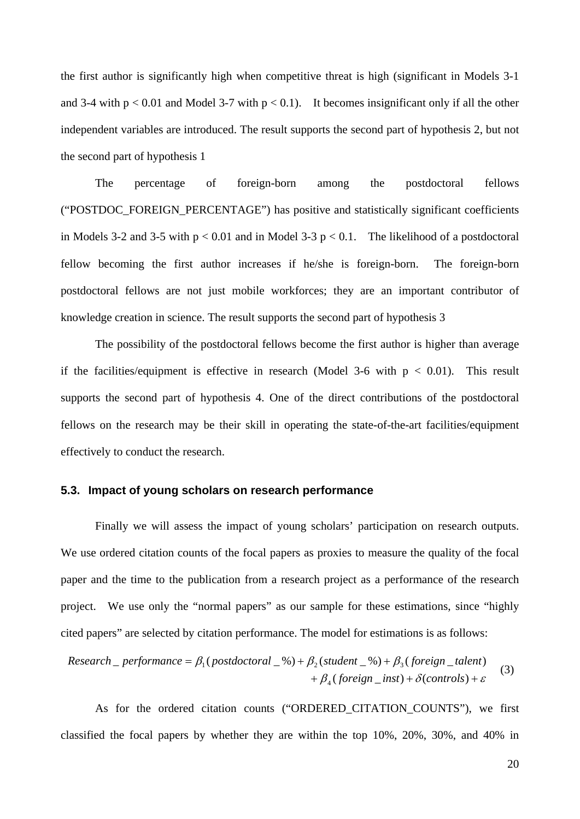the first author is significantly high when competitive threat is high (significant in Models 3-1 and 3-4 with  $p < 0.01$  and Model 3-7 with  $p < 0.1$ ). It becomes insignificant only if all the other independent variables are introduced. The result supports the second part of hypothesis 2, but not the second part of hypothesis 1

The percentage of foreign-born among the postdoctoral fellows ("POSTDOC\_FOREIGN\_PERCENTAGE") has positive and statistically significant coefficients in Models 3-2 and 3-5 with  $p < 0.01$  and in Model 3-3  $p < 0.1$ . The likelihood of a postdoctoral fellow becoming the first author increases if he/she is foreign-born. The foreign-born postdoctoral fellows are not just mobile workforces; they are an important contributor of knowledge creation in science. The result supports the second part of hypothesis 3

The possibility of the postdoctoral fellows become the first author is higher than average if the facilities/equipment is effective in research (Model 3-6 with  $p < 0.01$ ). This result supports the second part of hypothesis 4. One of the direct contributions of the postdoctoral fellows on the research may be their skill in operating the state-of-the-art facilities/equipment effectively to conduct the research.

#### **5.3. Impact of young scholars on research performance**

Finally we will assess the impact of young scholars' participation on research outputs. We use ordered citation counts of the focal papers as proxies to measure the quality of the focal paper and the time to the publication from a research project as a performance of the research project. We use only the "normal papers" as our sample for these estimations, since "highly cited papers" are selected by citation performance. The model for estimations is as follows:

$$
Research\_performance = \beta_1 (postdoctoral_{\alpha}) + \beta_2 (student_{\alpha}) + \beta_3 (foreign_{\alpha}) + \epsilon
$$
  
+  $\beta_4 (foreign_{\alpha}) + \delta (controls) + \epsilon$  (3)

As for the ordered citation counts ("ORDERED\_CITATION\_COUNTS"), we first classified the focal papers by whether they are within the top 10%, 20%, 30%, and 40% in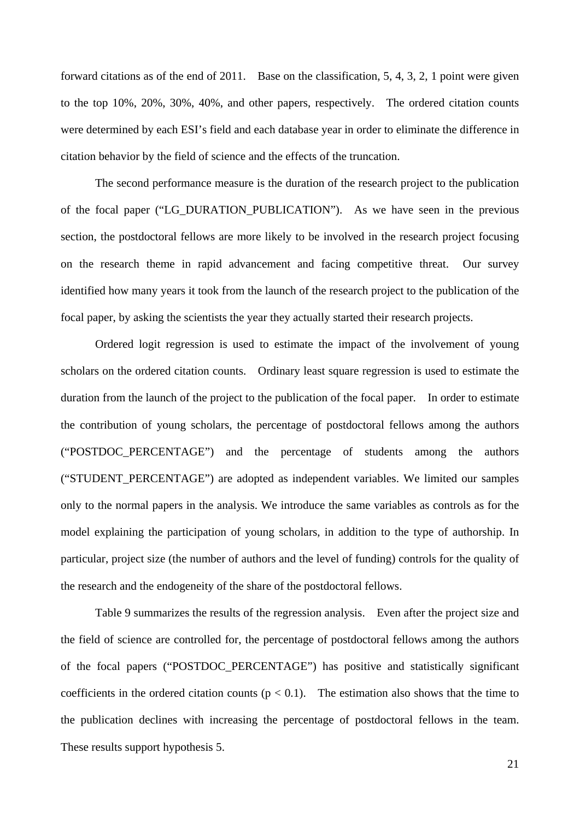forward citations as of the end of 2011. Base on the classification, 5, 4, 3, 2, 1 point were given to the top 10%, 20%, 30%, 40%, and other papers, respectively. The ordered citation counts were determined by each ESI's field and each database year in order to eliminate the difference in citation behavior by the field of science and the effects of the truncation.

The second performance measure is the duration of the research project to the publication of the focal paper ("LG\_DURATION\_PUBLICATION"). As we have seen in the previous section, the postdoctoral fellows are more likely to be involved in the research project focusing on the research theme in rapid advancement and facing competitive threat. Our survey identified how many years it took from the launch of the research project to the publication of the focal paper, by asking the scientists the year they actually started their research projects.

Ordered logit regression is used to estimate the impact of the involvement of young scholars on the ordered citation counts. Ordinary least square regression is used to estimate the duration from the launch of the project to the publication of the focal paper. In order to estimate the contribution of young scholars, the percentage of postdoctoral fellows among the authors ("POSTDOC\_PERCENTAGE") and the percentage of students among the authors ("STUDENT\_PERCENTAGE") are adopted as independent variables. We limited our samples only to the normal papers in the analysis. We introduce the same variables as controls as for the model explaining the participation of young scholars, in addition to the type of authorship. In particular, project size (the number of authors and the level of funding) controls for the quality of the research and the endogeneity of the share of the postdoctoral fellows.

Table 9 summarizes the results of the regression analysis. Even after the project size and the field of science are controlled for, the percentage of postdoctoral fellows among the authors of the focal papers ("POSTDOC\_PERCENTAGE") has positive and statistically significant coefficients in the ordered citation counts ( $p < 0.1$ ). The estimation also shows that the time to the publication declines with increasing the percentage of postdoctoral fellows in the team. These results support hypothesis 5.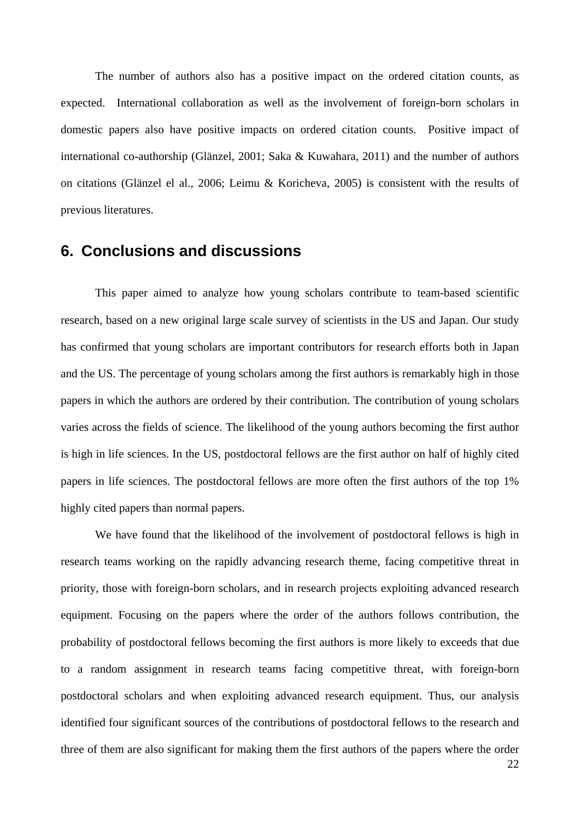The number of authors also has a positive impact on the ordered citation counts, as expected. International collaboration as well as the involvement of foreign-born scholars in domestic papers also have positive impacts on ordered citation counts. Positive impact of international co-authorship (Glänzel, 2001; Saka & Kuwahara, 2011) and the number of authors on citations (Glänzel el al., 2006; Leimu & Koricheva, 2005) is consistent with the results of previous literatures.

### **6. Conclusions and discussions**

This paper aimed to analyze how young scholars contribute to team-based scientific research, based on a new original large scale survey of scientists in the US and Japan. Our study has confirmed that young scholars are important contributors for research efforts both in Japan and the US. The percentage of young scholars among the first authors is remarkably high in those papers in which the authors are ordered by their contribution. The contribution of young scholars varies across the fields of science. The likelihood of the young authors becoming the first author is high in life sciences. In the US, postdoctoral fellows are the first author on half of highly cited papers in life sciences. The postdoctoral fellows are more often the first authors of the top 1% highly cited papers than normal papers.

We have found that the likelihood of the involvement of postdoctoral fellows is high in research teams working on the rapidly advancing research theme, facing competitive threat in priority, those with foreign-born scholars, and in research projects exploiting advanced research equipment. Focusing on the papers where the order of the authors follows contribution, the probability of postdoctoral fellows becoming the first authors is more likely to exceeds that due to a random assignment in research teams facing competitive threat, with foreign-born postdoctoral scholars and when exploiting advanced research equipment. Thus, our analysis identified four significant sources of the contributions of postdoctoral fellows to the research and three of them are also significant for making them the first authors of the papers where the order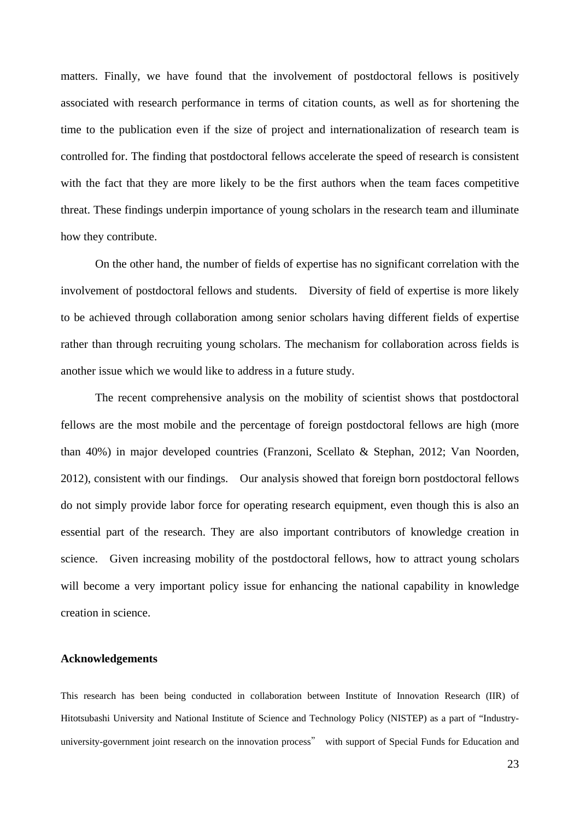matters. Finally, we have found that the involvement of postdoctoral fellows is positively associated with research performance in terms of citation counts, as well as for shortening the time to the publication even if the size of project and internationalization of research team is controlled for. The finding that postdoctoral fellows accelerate the speed of research is consistent with the fact that they are more likely to be the first authors when the team faces competitive threat. These findings underpin importance of young scholars in the research team and illuminate how they contribute.

On the other hand, the number of fields of expertise has no significant correlation with the involvement of postdoctoral fellows and students. Diversity of field of expertise is more likely to be achieved through collaboration among senior scholars having different fields of expertise rather than through recruiting young scholars. The mechanism for collaboration across fields is another issue which we would like to address in a future study.

The recent comprehensive analysis on the mobility of scientist shows that postdoctoral fellows are the most mobile and the percentage of foreign postdoctoral fellows are high (more than 40%) in major developed countries (Franzoni, Scellato & Stephan, 2012; Van Noorden, 2012), consistent with our findings. Our analysis showed that foreign born postdoctoral fellows do not simply provide labor force for operating research equipment, even though this is also an essential part of the research. They are also important contributors of knowledge creation in science. Given increasing mobility of the postdoctoral fellows, how to attract young scholars will become a very important policy issue for enhancing the national capability in knowledge creation in science.

#### **Acknowledgements**

This research has been being conducted in collaboration between Institute of Innovation Research (IIR) of Hitotsubashi University and National Institute of Science and Technology Policy (NISTEP) as a part of "Industryuniversity-government joint research on the innovation process" with support of Special Funds for Education and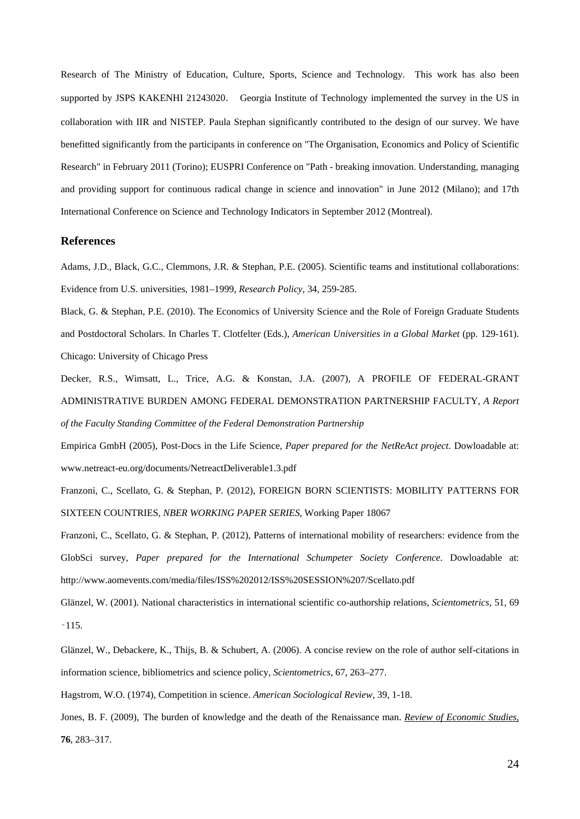Research of The Ministry of Education, Culture, Sports, Science and Technology. This work has also been supported by JSPS KAKENHI 21243020. Georgia Institute of Technology implemented the survey in the US in collaboration with IIR and NISTEP. Paula Stephan significantly contributed to the design of our survey. We have benefitted significantly from the participants in conference on "The Organisation, Economics and Policy of Scientific Research" in February 2011 (Torino); EUSPRI Conference on "Path - breaking innovation. Understanding, managing and providing support for continuous radical change in science and innovation" in June 2012 (Milano); and 17th International Conference on Science and Technology Indicators in September 2012 (Montreal).

#### **References**

Adams, J.D., Black, G.C., Clemmons, J.R. & Stephan, P.E. (2005). Scientific teams and institutional collaborations: Evidence from U.S. universities, 1981–1999, *Research Policy*, 34, 259-285.

Black, G. & Stephan, P.E. (2010). The Economics of University Science and the Role of Foreign Graduate Students and Postdoctoral Scholars. In Charles T. Clotfelter (Eds.), *American Universities in a Global Market* (pp. 129-161). Chicago: University of Chicago Press

Decker, R.S., Wimsatt, L., Trice, A.G. & Konstan, J.A. (2007), A PROFILE OF FEDERAL-GRANT ADMINISTRATIVE BURDEN AMONG FEDERAL DEMONSTRATION PARTNERSHIP FACULTY, *A Report of the Faculty Standing Committee of the Federal Demonstration Partnership* 

Empirica GmbH (2005), Post-Docs in the Life Science, *Paper prepared for the NetReAct project*. Dowloadable at: www.netreact-eu.org/documents/NetreactDeliverable1.3.pdf

Franzoni, C., Scellato, G. & Stephan, P. (2012), FOREIGN BORN SCIENTISTS: MOBILITY PATTERNS FOR SIXTEEN COUNTRIES, *NBER WORKING PAPER SERIES*, Working Paper 18067

Franzoni, C., Scellato, G. & Stephan, P. (2012), Patterns of international mobility of researchers: evidence from the GlobSci survey, *Paper prepared for the International Schumpeter Society Conference.* Dowloadable at: http://www.aomevents.com/media/files/ISS%202012/ISS%20SESSION%207/Scellato.pdf

Glänzel, W. (2001). National characteristics in international scientific co-authorship relations, *Scientometrics*, 51, 69 –115.

Glänzel, W., Debackere, K., Thijs, B. & Schubert, A. (2006). A concise review on the role of author self-citations in information science, bibliometrics and science policy, *Scientometrics*, 67, 263–277.

Hagstrom, W.O. (1974), Competition in science. *American Sociological Review*, 39, 1-18.

Jones, B. F. (2009), The burden of knowledge and the death of the Renaissance man. *Review of Economic Studies*, **76**, 283–317.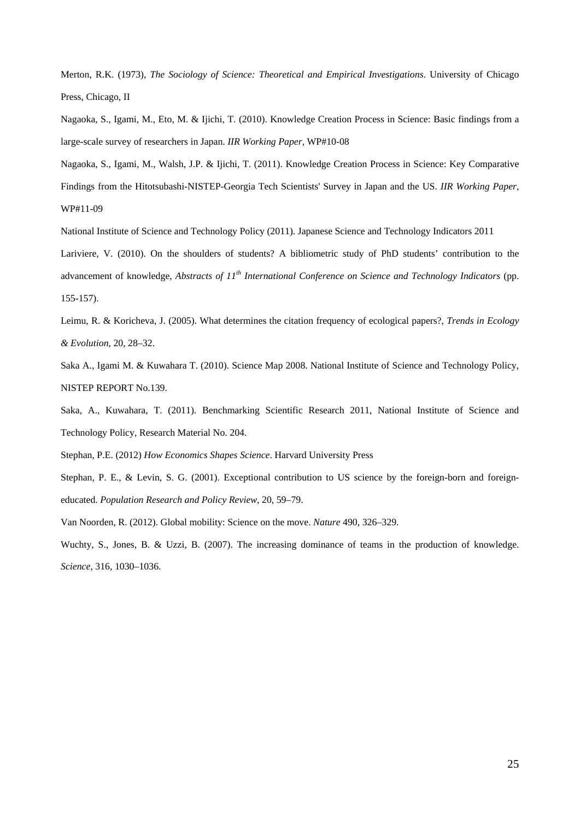Merton, R.K. (1973), *The Sociology of Science: Theoretical and Empirical Investigations*. University of Chicago Press, Chicago, II

Nagaoka, S., Igami, M., Eto, M. & Ijichi, T. (2010). Knowledge Creation Process in Science: Basic findings from a large-scale survey of researchers in Japan. *IIR Working Paper,* WP#10-08

Nagaoka, S., Igami, M., Walsh, J.P. & Ijichi, T. (2011). Knowledge Creation Process in Science: Key Comparative Findings from the Hitotsubashi-NISTEP-Georgia Tech Scientists' Survey in Japan and the US. *IIR Working Paper,* WP#11-09

National Institute of Science and Technology Policy (2011). Japanese Science and Technology Indicators 2011

Lariviere, V. (2010). On the shoulders of students? A bibliometric study of PhD students' contribution to the advancement of knowledge, *Abstracts of 11th International Conference on Science and Technology Indicators* (pp. 155-157).

Leimu, R. & Koricheva, J. (2005). What determines the citation frequency of ecological papers?, *Trends in Ecology & Evolution*, 20, 28–32.

Saka A., Igami M. & Kuwahara T. (2010). Science Map 2008. National Institute of Science and Technology Policy, NISTEP REPORT No.139.

Saka, A., Kuwahara, T. (2011). Benchmarking Scientific Research 2011, National Institute of Science and Technology Policy, Research Material No. 204.

Stephan, P.E. (2012) *How Economics Shapes Science*. Harvard University Press

Stephan, P. E., & Levin, S. G. (2001). Exceptional contribution to US science by the foreign-born and foreigneducated. *Population Research and Policy Review*, 20, 59–79.

Van Noorden, R. (2012). Global mobility: Science on the move. *Nature* 490, 326–329.

Wuchty, S., Jones, B. & Uzzi, B. (2007). The increasing dominance of teams in the production of knowledge. *Science*, 316, 1030–1036.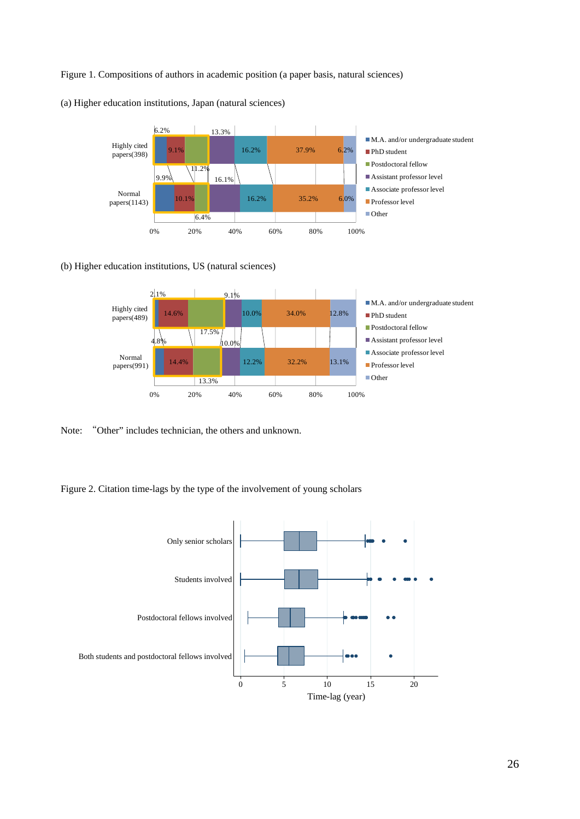#### Figure 1. Compositions of authors in academic position (a paper basis, natural sciences)



(a) Higher education institutions, Japan (natural sciences)

#### (b) Higher education institutions, US (natural sciences)



Note: "Other" includes technician, the others and unknown.

Figure 2. Citation time-lags by the type of the involvement of young scholars

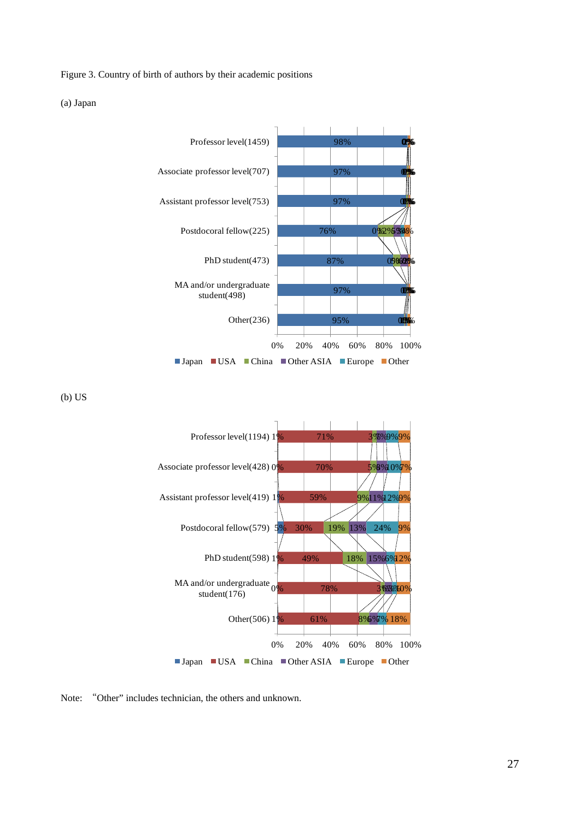Figure 3. Country of birth of authors by their academic positions

(a) Japan



(b) US



Note: "Other" includes technician, the others and unknown.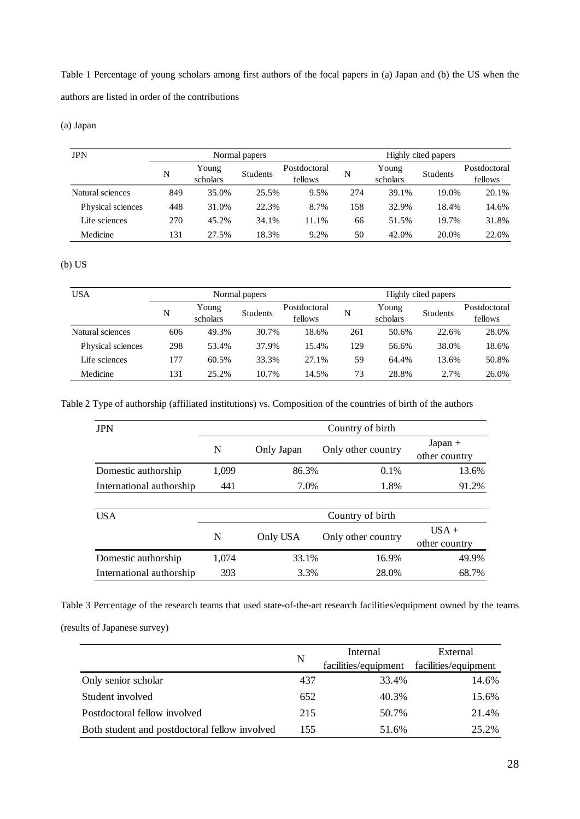Table 1 Percentage of young scholars among first authors of the focal papers in (a) Japan and (b) the US when the authors are listed in order of the contributions

(a) Japan

| <b>JPN</b>        | Normal papers |                   |                 |                         |     | Highly cited papers |                 |                         |  |  |
|-------------------|---------------|-------------------|-----------------|-------------------------|-----|---------------------|-----------------|-------------------------|--|--|
|                   | N             | Young<br>scholars | <b>Students</b> | Postdoctoral<br>fellows | N   | Young<br>scholars   | <b>Students</b> | Postdoctoral<br>fellows |  |  |
| Natural sciences  | 849           | 35.0%             | 25.5%           | 9.5%                    | 274 | 39.1%               | 19.0%           | 20.1%                   |  |  |
| Physical sciences | 448           | 31.0%             | 22.3%           | 8.7%                    | 158 | 32.9%               | 18.4%           | 14.6%                   |  |  |
| Life sciences     | 270           | 45.2%             | 34.1%           | 11.1%                   | 66  | 51.5%               | 19.7%           | 31.8%                   |  |  |
| Medicine          | 131           | 27.5%             | 18.3%           | 9.2%                    | 50  | 42.0%               | 20.0%           | 22.0%                   |  |  |

#### (b) US

| <b>USA</b>        | Normal papers |                   |                 | Highly cited papers     |     |                   |                 |                         |
|-------------------|---------------|-------------------|-----------------|-------------------------|-----|-------------------|-----------------|-------------------------|
|                   | N             | Young<br>scholars | <b>Students</b> | Postdoctoral<br>fellows | N   | Young<br>scholars | <b>Students</b> | Postdoctoral<br>fellows |
| Natural sciences  | 606           | 49.3%             | 30.7%           | 18.6%                   | 261 | 50.6%             | 22.6%           | 28.0%                   |
| Physical sciences | 298           | 53.4%             | 37.9%           | 15.4%                   | 129 | 56.6%             | 38.0%           | 18.6%                   |
| Life sciences     | 177           | 60.5%             | 33.3%           | 27.1%                   | 59  | 64.4%             | 13.6%           | 50.8%                   |
| Medicine          | 131           | 25.2%             | 10.7%           | 14.5%                   | 73  | 28.8%             | 2.7%            | 26.0%                   |

Table 2 Type of authorship (affiliated institutions) vs. Composition of the countries of birth of the authors

| <b>JPN</b>               | Country of birth |              |                    |                            |  |  |
|--------------------------|------------------|--------------|--------------------|----------------------------|--|--|
|                          | N                | Only Japan   | Only other country | $Japan +$<br>other country |  |  |
| Domestic authorship      | 1,099            | 86.3%        | $0.1\%$            | 13.6%                      |  |  |
| International authorship | 441              | 1.8%<br>7.0% |                    | 91.2%                      |  |  |
|                          |                  |              |                    |                            |  |  |
| <b>USA</b>               |                  |              | Country of birth   |                            |  |  |
|                          | N                | Only USA     | Only other country | $USA +$<br>other country   |  |  |
| Domestic authorship      | 1,074            | 33.1%        | 16.9%              | 49.9%                      |  |  |
| International authorship | 393              | 3.3%         | 28.0%              | 68.7%                      |  |  |

Table 3 Percentage of the research teams that used state-of-the-art research facilities/equipment owned by the teams

(results of Japanese survey)

|                                               |     | Internal             | External             |
|-----------------------------------------------|-----|----------------------|----------------------|
|                                               | N   | facilities/equipment | facilities/equipment |
| Only senior scholar                           | 437 | 33.4%                | 14.6%                |
| Student involved                              | 652 | 40.3%                | 15.6%                |
| Postdoctoral fellow involved                  | 215 | 50.7%                | 21.4%                |
| Both student and postdoctoral fellow involved | 155 | 51.6%                | 25.2%                |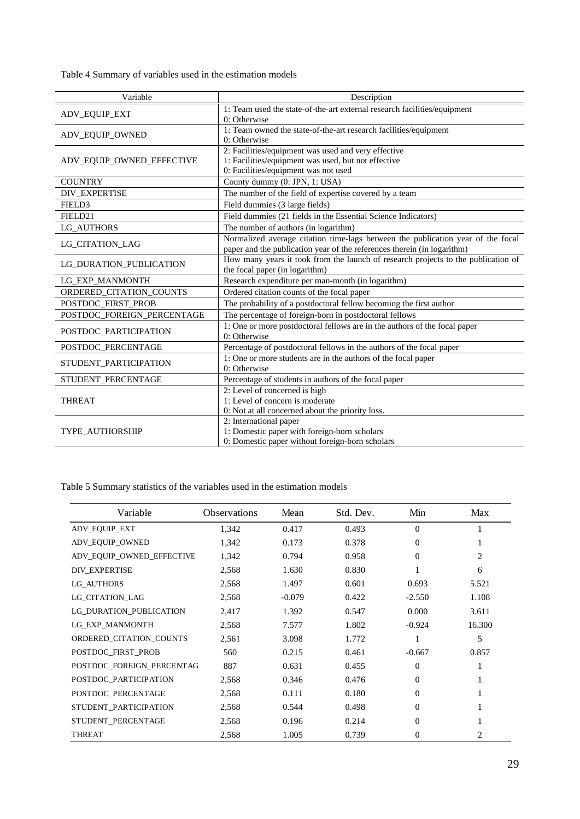Table 4 Summary of variables used in the estimation models

| Variable                   | Description                                                                                                                                                |
|----------------------------|------------------------------------------------------------------------------------------------------------------------------------------------------------|
| <b>ADV_EQUIP_EXT</b>       | 1: Team used the state-of-the-art external research facilities/equipment<br>0: Otherwise                                                                   |
| ADV_EQUIP_OWNED            | 1: Team owned the state-of-the-art research facilities/equipment<br>0: Otherwise                                                                           |
| ADV_EQUIP_OWNED_EFFECTIVE  | 2: Facilities/equipment was used and very effective<br>1: Facilities/equipment was used, but not effective<br>0: Facilities/equipment was not used         |
| <b>COUNTRY</b>             | County dummy (0: JPN, 1: USA)                                                                                                                              |
| DIV_EXPERTISE              | The number of the field of expertise covered by a team                                                                                                     |
| FIELD3                     | Field dummies (3 large fields)                                                                                                                             |
| FIELD21                    | Field dummies (21 fields in the Essential Science Indicators)                                                                                              |
| LG AUTHORS                 | The number of authors (in logarithm)                                                                                                                       |
| <b>LG_CITATION_LAG</b>     | Normalized average citation time-lags between the publication year of the focal<br>paper and the publication year of the references therein (in logarithm) |
| LG_DURATION_PUBLICATION    | How many years it took from the launch of research projects to the publication of<br>the focal paper (in logarithm)                                        |
| LG_EXP_MANMONTH            | Research expenditure per man-month (in logarithm)                                                                                                          |
| ORDERED_CITATION_COUNTS    | Ordered citation counts of the focal paper                                                                                                                 |
| POSTDOC_FIRST_PROB         | The probability of a postdoctoral fellow becoming the first author                                                                                         |
| POSTDOC_FOREIGN_PERCENTAGE | The percentage of foreign-born in postdoctoral fellows                                                                                                     |
| POSTDOC_PARTICIPATION      | 1: One or more postdoctoral fellows are in the authors of the focal paper<br>0: Otherwise                                                                  |
| POSTDOC_PERCENTAGE         | Percentage of postdoctoral fellows in the authors of the focal paper                                                                                       |
| STUDENT_PARTICIPATION      | 1: One or more students are in the authors of the focal paper<br>0: Otherwise                                                                              |
| STUDENT_PERCENTAGE         | Percentage of students in authors of the focal paper                                                                                                       |
| <b>THREAT</b>              | 2: Level of concerned is high<br>1: Level of concern is moderate<br>0: Not at all concerned about the priority loss.                                       |
| <b>TYPE_AUTHORSHIP</b>     | 2: International paper<br>1: Domestic paper with foreign-born scholars<br>0: Domestic paper without foreign-born scholars                                  |

Table 5 Summary statistics of the variables used in the estimation models

| Variable                  | <b>Observations</b> | Mean     | Std. Dev. | Min      | Max    |
|---------------------------|---------------------|----------|-----------|----------|--------|
| ADV_EQUIP_EXT             | 1,342               | 0.417    | 0.493     | $\Omega$ |        |
| ADV_EQUIP_OWNED           | 1,342               | 0.173    | 0.378     | $\Omega$ |        |
| ADV_EQUIP_OWNED_EFFECTIVE | 1,342               | 0.794    | 0.958     | 0        | 2      |
| <b>DIV EXPERTISE</b>      | 2,568               | 1.630    | 0.830     |          | 6      |
| <b>LG_AUTHORS</b>         | 2,568               | 1.497    | 0.601     | 0.693    | 5.521  |
| LG_CITATION_LAG           | 2,568               | $-0.079$ | 0.422     | $-2.550$ | 1.108  |
| LG_DURATION_PUBLICATION   | 2,417               | 1.392    | 0.547     | 0.000    | 3.611  |
| LG_EXP_MANMONTH           | 2,568               | 7.577    | 1.802     | $-0.924$ | 16.300 |
| ORDERED_CITATION_COUNTS   | 2,561               | 3.098    | 1.772     |          | 5      |
| POSTDOC_FIRST_PROB        | 560                 | 0.215    | 0.461     | $-0.667$ | 0.857  |
| POSTDOC_FOREIGN_PERCENTAG | 887                 | 0.631    | 0.455     | $\theta$ |        |
| POSTDOC_PARTICIPATION     | 2,568               | 0.346    | 0.476     | 0        |        |
| POSTDOC_PERCENTAGE        | 2,568               | 0.111    | 0.180     | 0        |        |
| STUDENT_PARTICIPATION     | 2,568               | 0.544    | 0.498     | $\Omega$ |        |
| STUDENT_PERCENTAGE        | 2,568               | 0.196    | 0.214     | $\Omega$ |        |
| <b>THREAT</b>             | 2,568               | 1.005    | 0.739     | 0        | 2      |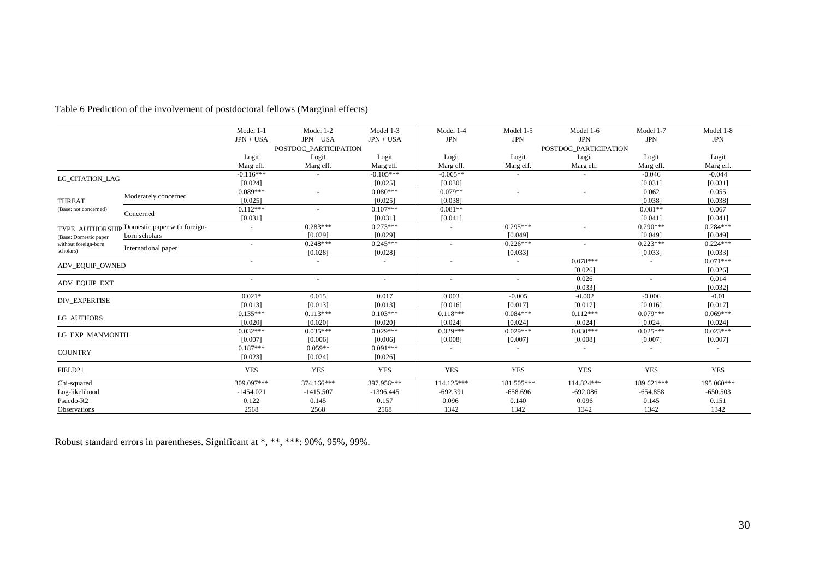|                       |                                              | Model 1-1   | Model 1-2                | Model 1-3   | Model 1-4                | Model 1-5                | Model 1-6             | Model 1-7  | Model 1-8      |
|-----------------------|----------------------------------------------|-------------|--------------------------|-------------|--------------------------|--------------------------|-----------------------|------------|----------------|
|                       |                                              | $JPN + USA$ | $JPN + USA$              | $JPN + USA$ | <b>JPN</b>               | <b>JPN</b>               | <b>JPN</b>            | <b>JPN</b> | <b>JPN</b>     |
|                       |                                              |             | POSTDOC PARTICIPATION    |             |                          |                          | POSTDOC PARTICIPATION |            |                |
|                       |                                              | Logit       | Logit                    | Logit       | Logit                    | Logit                    | Logit                 | Logit      | Logit          |
|                       |                                              | Marg eff.   | Marg eff.                | Marg eff.   | Marg eff.                | Marg eff.                | Marg eff.             | Marg eff.  | Marg eff.      |
| LG CITATION LAG       |                                              | $-0.116***$ |                          | $-0.105***$ | $-0.065**$               |                          |                       | $-0.046$   | $-0.044$       |
|                       |                                              | [0.024]     |                          | [0.025]     | [0.030]                  |                          |                       | [0.031]    | [0.031]        |
|                       | Moderately concerned                         | $0.089***$  | $\overline{\phantom{a}}$ | $0.080***$  | $0.079**$                | $\overline{\phantom{a}}$ |                       | 0.062      | 0.055          |
| <b>THREAT</b>         |                                              | [0.025]     |                          | [0.025]     | [0.038]                  |                          |                       | [0.038]    | [0.038]        |
| (Base: not concerned) | Concerned                                    | $0.112***$  | $\blacksquare$           | $0.107***$  | $0.081**$                |                          |                       | $0.081**$  | 0.067          |
|                       |                                              | [0.031]     |                          | [0.031]     | [0.041]                  |                          |                       | [0.041]    | [0.041]        |
|                       | TYPE_AUTHORSHIP Domestic paper with foreign- |             | $0.283***$               | $0.273***$  | $\blacksquare$           | $0.295***$               |                       | $0.290***$ | $0.284***$     |
| (Base: Domestic paper | born scholars                                |             | [0.029]                  | [0.029]     |                          | [0.049]                  |                       | [0.049]    | [0.049]        |
| without foreign-born  |                                              |             | $0.248***$               | $0.245***$  |                          | $0.226***$               |                       | $0.223***$ | $0.224***$     |
| scholars)             | International paper                          |             | [0.028]                  | [0.028]     |                          | [0.033]                  |                       | [0.033]    | [0.033]        |
|                       |                                              |             | $\sim$                   |             | $\overline{\phantom{a}}$ |                          | $0.078***$            |            | $0.071***$     |
| ADV_EQUIP_OWNED       |                                              |             |                          |             |                          |                          | [0.026]               |            | [0.026]        |
|                       |                                              |             | $\overline{\phantom{a}}$ |             |                          | $\blacksquare$           | 0.026                 |            | 0.014          |
| <b>ADV_EQUIP_EXT</b>  |                                              |             |                          |             |                          |                          | [0.033]               |            | [0.032]        |
| <b>DIV_EXPERTISE</b>  |                                              | $0.021*$    | 0.015                    | 0.017       | 0.003                    | $-0.005$                 | $-0.002$              | $-0.006$   | $-0.01$        |
|                       |                                              | [0.013]     | [0.013]                  | [0.013]     | [0.016]                  | [0.017]                  | [0.017]               | [0.016]    | [0.017]        |
| LG AUTHORS            |                                              | $0.135***$  | $0.113***$               | $0.103***$  | $0.118***$               | $0.084***$               | $0.112***$            | $0.079***$ | $0.069***$     |
|                       |                                              | [0.020]     | [0.020]                  | [0.020]     | [0.024]                  | [0.024]                  | [0.024]               | [0.024]    | [0.024]        |
| LG EXP MANMONTH       |                                              | $0.032***$  | $0.035***$               | $0.029***$  | $0.029***$               | $0.029***$               | $0.030***$            | $0.025***$ | $0.023***$     |
|                       |                                              | [0.007]     | [0.006]                  | [0.006]     | [0.008]                  | [0.007]                  | [0.008]               | [0.007]    | [0.007]        |
| <b>COUNTRY</b>        |                                              | $0.187***$  | $0.059**$                | $0.091***$  | $\overline{\phantom{a}}$ | $\overline{\phantom{a}}$ |                       |            | $\blacksquare$ |
|                       |                                              | [0.023]     | [0.024]                  | [0.026]     |                          |                          |                       |            |                |
| FIELD21               |                                              | <b>YES</b>  | <b>YES</b>               | <b>YES</b>  | <b>YES</b>               | <b>YES</b>               | <b>YES</b>            | <b>YES</b> | <b>YES</b>     |
| Chi-squared           |                                              | 309.097***  | 374.166***               | 397.956***  | 114.125***               | 181.505***               | 114.824***            | 189.621*** | 195.060***     |
| Log-likelihood        |                                              | $-1454.021$ | $-1415.507$              | $-1396.445$ | $-692.391$               | $-658.696$               | $-692.086$            | $-654.858$ | $-650.503$     |
| Psuedo-R2             |                                              | 0.122       | 0.145                    | 0.157       | 0.096                    | 0.140                    | 0.096                 | 0.145      | 0.151          |
| Observations          |                                              | 2568        | 2568                     | 2568        | 1342                     | 1342                     | 1342                  | 1342       | 1342           |

Table 6 Prediction of the involvement of postdoctoral fellows (Marginal effects)

Robust standard errors in parentheses. Significant at \*, \*\*, \*\*\*: 90%, 95%, 99%.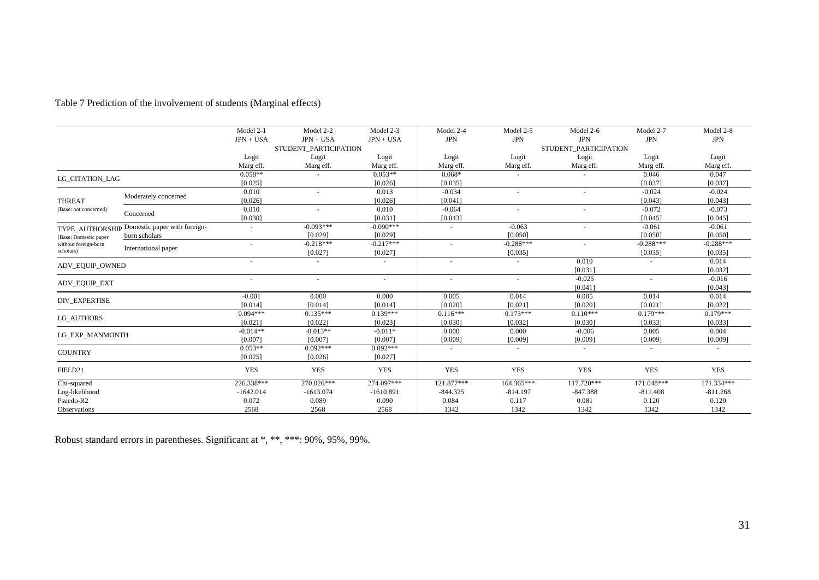|  |  |  | Table 7 Prediction of the involvement of students (Marginal effects) |
|--|--|--|----------------------------------------------------------------------|
|--|--|--|----------------------------------------------------------------------|

|                       |                              | Model 2-1                | Model 2-2                | Model 2-3   | Model 2-4                | Model 2-5   | Model 2-6                | Model 2-7   | Model 2-8   |
|-----------------------|------------------------------|--------------------------|--------------------------|-------------|--------------------------|-------------|--------------------------|-------------|-------------|
|                       |                              | $JPN + USA$              | $JPN + USA$              | $JPN + USA$ | <b>JPN</b>               | <b>JPN</b>  | <b>JPN</b>               | <b>JPN</b>  | <b>JPN</b>  |
|                       |                              |                          | STUDENT_PARTICIPATION    |             |                          |             | STUDENT PARTICIPATION    |             |             |
|                       |                              | Logit                    | Logit                    | Logit       | Logit                    | Logit       | Logit                    | Logit       | Logit       |
|                       |                              | Marg eff.                | Marg eff.                | Marg eff.   | Marg eff.                | Marg eff.   | Marg eff.                | Marg eff.   | Marg eff.   |
| LG CITATION LAG       |                              | $0.058**$                |                          | $0.053**$   | $0.068*$                 |             |                          | 0.046       | 0.047       |
|                       |                              | [0.025]                  |                          | [0.026]     | [0.035]                  |             |                          | [0.037]     | [0.037]     |
|                       |                              | 0.010                    | $\equiv$                 | 0.013       | $-0.034$                 |             | $\equiv$                 | $-0.024$    | $-0.024$    |
| <b>THREAT</b>         | Moderately concerned         | [0.026]                  |                          | [0.026]     | [0.041]                  |             |                          | [0.043]     | [0.043]     |
| (Base: not concerned) |                              | 0.010                    |                          | 0.010       | $-0.064$                 |             |                          | $-0.072$    | $-0.073$    |
|                       | Concerned                    | [0.030]                  |                          | [0.031]     | [0.043]                  |             |                          | [0.045]     | [0.045]     |
| TYPE AUTHORSHIP       | Domestic paper with foreign- |                          | $-0.093***$              | $-0.090***$ | $\sim$                   | $-0.063$    |                          | $-0.061$    | $-0.061$    |
| (Base: Domestic paper | born scholars                |                          | [0.029]                  | [0.029]     |                          | [0.050]     |                          | [0.050]     | [0.050]     |
| without foreign-born  | International paper          |                          | $-0.218***$              | $-0.217***$ | ٠                        | $-0.288***$ |                          | $-0.288***$ | $-0.288***$ |
| scholars)             |                              |                          | [0.027]                  | [0.027]     |                          | [0.035]     |                          | [0.035]     | [0.035]     |
| ADV EQUIP OWNED       |                              | $\sim$                   | $\overline{\phantom{a}}$ | $\sim$      | $\overline{\phantom{a}}$ | $\sim$      | 0.010                    |             | 0.014       |
|                       |                              |                          |                          |             |                          |             | [0.031]                  |             | [0.032]     |
| <b>ADV_EQUIP_EXT</b>  |                              | $\overline{\phantom{a}}$ | $\overline{\phantom{m}}$ | $\sim$      | $\overline{\phantom{a}}$ |             | $-0.025$                 |             | $-0.016$    |
|                       |                              |                          |                          |             |                          |             | [0.041]                  |             | [0.043]     |
| <b>DIV_EXPERTISE</b>  |                              | $-0.001$                 | 0.000                    | 0.000       | 0.005                    | 0.014       | 0.005                    | 0.014       | 0.014       |
|                       |                              | [0.014]                  | [0.014]                  | [0.014]     | [0.020]                  | [0.021]     | [0.020]                  | [0.021]     | [0.022]     |
| LG AUTHORS            |                              | $0.094***$               | $0.135***$               | $0.139***$  | $0.116***$               | $0.173***$  | $0.110***$               | $0.179***$  | $0.179***$  |
|                       |                              | [0.021]                  | [0.022]                  | [0.023]     | [0.030]                  | [0.032]     | [0.030]                  | [0.033]     | [0.033]     |
| LG EXP MANMONTH       |                              | $-0.014**$               | $-0.013**$               | $-0.011*$   | 0.000                    | 0.000       | $-0.006$                 | 0.005       | 0.004       |
|                       |                              | [0.007]                  | [0.007]                  | [0.007]     | [0.009]                  | [0.009]     | [0.009]                  | [0.009]     | [0.009]     |
| <b>COUNTRY</b>        |                              | $0.053**$                | $0.092***$               | $0.092***$  | $\overline{\phantom{a}}$ |             | $\overline{\phantom{a}}$ |             |             |
|                       |                              | [0.025]                  | [0.026]                  | [0.027]     |                          |             |                          |             |             |
| FIELD21               |                              | <b>YES</b>               | <b>YES</b>               | <b>YES</b>  | <b>YES</b>               | <b>YES</b>  | <b>YES</b>               | <b>YES</b>  | <b>YES</b>  |
| Chi-squared           |                              | 226.338***               | 270.026***               | 274.097***  | 121.877***               | 164.365***  | 117.720***               | 171.048***  | 171.334***  |
| Log-likelihood        |                              | $-1642.014$              | $-1613.074$              | $-1610.891$ | $-844.325$               | $-814.197$  | $-847.388$               | $-811.408$  | $-811.268$  |
| Psuedo-R2             |                              | 0.072                    | 0.089                    | 0.090       | 0.084                    | 0.117       | 0.081                    | 0.120       | 0.120       |
| Observations          |                              | 2568                     | 2568                     | 2568        | 1342                     | 1342        | 1342                     | 1342        | 1342        |

Robust standard errors in parentheses. Significant at \*, \*\*, \*\*\*: 90%, 95%, 99%.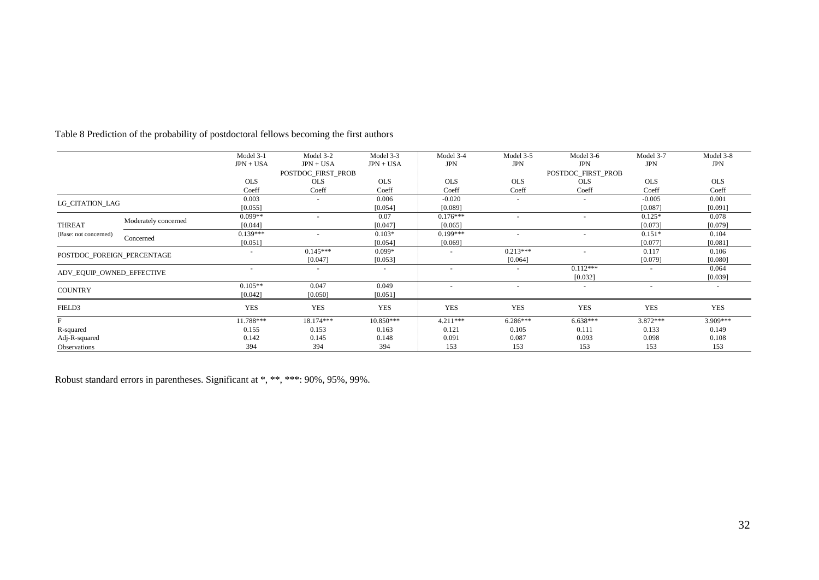|                            |                      | Model 3-1   | Model 3-2                | Model 3-3                | Model 3-4                | Model 3-5                | Model 3-6                | Model 3-7  | Model 3-8  |
|----------------------------|----------------------|-------------|--------------------------|--------------------------|--------------------------|--------------------------|--------------------------|------------|------------|
|                            |                      | $JPN + USA$ | $JPN + USA$              | $JPN + USA$              | <b>JPN</b>               | <b>JPN</b>               | <b>JPN</b>               | <b>JPN</b> | <b>JPN</b> |
|                            |                      |             | POSTDOC_FIRST_PROB       |                          |                          |                          | POSTDOC_FIRST_PROB       |            |            |
|                            |                      | <b>OLS</b>  | <b>OLS</b>               | <b>OLS</b>               | <b>OLS</b>               | <b>OLS</b>               | <b>OLS</b>               | <b>OLS</b> | <b>OLS</b> |
|                            |                      | Coeff       | Coeff                    | Coeff                    | Coeff                    | Coeff                    | Coeff                    | Coeff      | Coeff      |
| LG CITATION LAG            |                      | 0.003       | $\overline{\phantom{a}}$ | 0.006                    | $-0.020$                 | $\overline{\phantom{a}}$ | $\overline{\phantom{a}}$ | $-0.005$   | 0.001      |
|                            |                      | [0.055]     |                          | [0.054]                  | [0.089]                  |                          |                          | [0.087]    | [0.091]    |
|                            | Moderately concerned | $0.099**$   | $\overline{\phantom{a}}$ | 0.07                     | $0.176***$               |                          |                          | $0.125*$   | 0.078      |
| <b>THREAT</b>              |                      | [0.044]     |                          | [0.047]                  | [0.065]                  |                          |                          | [0.073]    | [0.079]    |
| (Base: not concerned)      |                      | $0.139***$  |                          | $0.103*$                 | $0.199***$               |                          |                          | $0.151*$   | 0.104      |
|                            | Concerned            | [0.051]     |                          | [0.054]                  | [0.069]                  |                          |                          | [0.077]    | [0.081]    |
| POSTDOC FOREIGN PERCENTAGE |                      |             | $0.145***$               | $0.099*$                 |                          | $0.213***$               |                          | 0.117      | 0.106      |
|                            |                      |             | [0.047]                  | [0.053]                  |                          | [0.064]                  |                          | [0.079]    | [0.080]    |
| ADV EQUIP OWNED EFFECTIVE  |                      | $\sim$      | $\overline{\phantom{a}}$ | $\overline{\phantom{a}}$ | $\overline{\phantom{a}}$ |                          | $0.112***$               |            | 0.064      |
|                            |                      |             |                          |                          |                          |                          | [0.032]                  |            | [0.039]    |
| <b>COUNTRY</b>             |                      | $0.105**$   | 0.047                    | 0.049                    | $\sim$                   | $\overline{\phantom{a}}$ | $\sim$                   | $\sim$     | $\sim$     |
|                            |                      | [0.042]     | [0.050]                  | [0.051]                  |                          |                          |                          |            |            |
| FIELD3                     |                      | <b>YES</b>  | <b>YES</b>               | <b>YES</b>               | <b>YES</b>               | <b>YES</b>               | <b>YES</b>               | <b>YES</b> | YES        |
| F                          |                      | 11.788***   | 18.174***                | 10.850***                | $4.211***$               | $6.286***$               | $6.638***$               | $3.872***$ | 3.909***   |
| R-squared                  |                      | 0.155       | 0.153                    | 0.163                    | 0.121                    | 0.105                    | 0.111                    | 0.133      | 0.149      |
| Adj-R-squared              |                      | 0.142       | 0.145                    | 0.148                    | 0.091                    | 0.087                    | 0.093                    | 0.098      | 0.108      |
| Observations               |                      | 394         | 394                      | 394                      | 153                      | 153                      | 153                      | 153        | 153        |

Table 8 Prediction of the probability of postdoctoral fellows becoming the first authors

Robust standard errors in parentheses. Significant at \*, \*\*, \*\*\*: 90%, 95%, 99%.